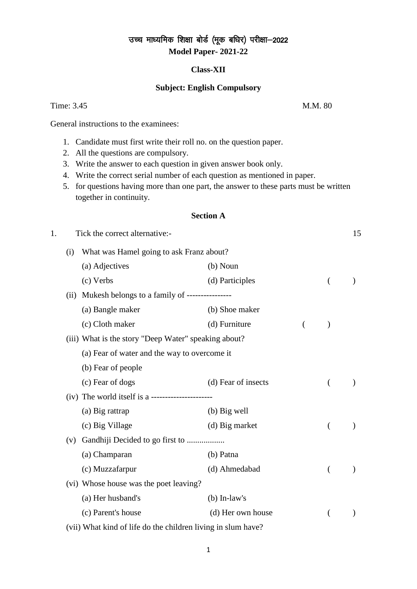# उच्च माध्यमिक शिक्षा बोर्ड (मूक बधिर) परीक्षा-2022 **Model Paper- 2021-22**

### **Class-XII**

### **Subject: English Compulsory**

### Time: 3.45 M.M. 80

General instructions to the examinees:

- 1. Candidate must first write their roll no. on the question paper.
- 2. All the questions are compulsory.
- 3. Write the answer to each question in given answer book only.
- 4. Write the correct serial number of each question as mentioned in paper.
- 5. for questions having more than one part, the answer to these parts must be written together in continuity.

### **Section A**

| 1. |     | Tick the correct alternative:-                               |                     |          | 15        |
|----|-----|--------------------------------------------------------------|---------------------|----------|-----------|
|    | (i) | What was Hamel going to ask Franz about?                     |                     |          |           |
|    |     | (a) Adjectives                                               | $(b)$ Noun          |          |           |
|    |     | (c) Verbs                                                    | (d) Participles     | (        |           |
|    |     | (ii) Mukesh belongs to a family of -----------------         |                     |          |           |
|    |     | (a) Bangle maker                                             | (b) Shoe maker      |          |           |
|    |     | (c) Cloth maker                                              | (d) Furniture       |          |           |
|    |     | (iii) What is the story "Deep Water" speaking about?         |                     |          |           |
|    |     | (a) Fear of water and the way to overcome it                 |                     |          |           |
|    |     | (b) Fear of people                                           |                     |          |           |
|    |     | (c) Fear of dogs                                             | (d) Fear of insects | $\left($ |           |
|    |     |                                                              |                     |          |           |
|    |     | (a) Big rattrap                                              | $(b)$ Big well      |          |           |
|    |     | (c) Big Village                                              | (d) Big market      |          |           |
|    | (v) | Gandhiji Decided to go first to                              |                     |          |           |
|    |     | (a) Champaran                                                | (b) Patna           |          |           |
|    |     | (c) Muzzafarpur                                              | (d) Ahmedabad       | (        |           |
|    |     | (vi) Whose house was the poet leaving?                       |                     |          |           |
|    |     | (a) Her husband's                                            | $(b)$ In-law's      |          |           |
|    |     | (c) Parent's house                                           | (d) Her own house   |          | $\lambda$ |
|    |     | (vii) What kind of life do the children living in slum have? |                     |          |           |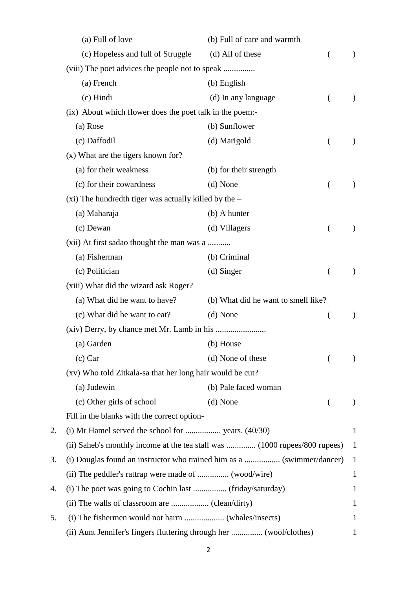|    | (a) Full of love                                                           | (b) Full of care and warmth         |   |               |
|----|----------------------------------------------------------------------------|-------------------------------------|---|---------------|
|    | (c) Hopeless and full of Struggle                                          | (d) All of these                    |   |               |
|    |                                                                            |                                     |   |               |
|    | (a) French                                                                 | (b) English                         |   |               |
|    | (c) Hindi                                                                  | (d) In any language                 |   | $\lambda$     |
|    | (ix) About which flower does the poet talk in the poem:-                   |                                     |   |               |
|    | (a) Rose                                                                   | (b) Sunflower                       |   |               |
|    | (c) Daffodil                                                               | (d) Marigold                        | € | $\mathcal{Y}$ |
|    | (x) What are the tigers known for?                                         |                                     |   |               |
|    | (a) for their weakness                                                     | (b) for their strength              |   |               |
|    | (c) for their cowardness                                                   | (d) None                            | ( |               |
|    | $(xi)$ The hundredth tiger was actually killed by the $-$                  |                                     |   |               |
|    | (a) Maharaja                                                               | (b) A hunter                        |   |               |
|    | (c) Dewan                                                                  | (d) Villagers                       |   |               |
|    | (xii) At first sadao thought the man was a                                 |                                     |   |               |
|    | (a) Fisherman                                                              | (b) Criminal                        |   |               |
|    | (c) Politician                                                             | (d) Singer                          |   | $\mathcal{Y}$ |
|    | (xiii) What did the wizard ask Roger?                                      |                                     |   |               |
|    | (a) What did he want to have?                                              | (b) What did he want to smell like? |   |               |
|    | (c) What did he want to eat?                                               | (d) None                            |   |               |
|    |                                                                            |                                     |   |               |
|    | (a) Garden                                                                 | (b) House                           |   |               |
|    | $(c)$ Car                                                                  | (d) None of these                   |   |               |
|    | (xv) Who told Zitkala-sa that her long hair would be cut?                  |                                     |   |               |
|    | (a) Judewin                                                                | (b) Pale faced woman                |   |               |
|    | (c) Other girls of school                                                  | (d) None                            |   |               |
|    | Fill in the blanks with the correct option-                                |                                     |   |               |
| 2. |                                                                            |                                     |   | $\mathbf{1}$  |
|    | (ii) Saheb's monthly income at the tea stall was  (1000 rupees/800 rupees) |                                     |   | $\mathbf{1}$  |
| 3. | (i) Douglas found an instructor who trained him as a  (swimmer/dancer)     |                                     |   | $\mathbf{1}$  |
|    |                                                                            |                                     |   | $\mathbf{1}$  |
| 4. | (i) The poet was going to Cochin last  (friday/saturday)                   |                                     |   | 1             |
|    |                                                                            |                                     |   | 1             |
| 5. |                                                                            |                                     |   | 1             |
|    | (ii) Aunt Jennifer's fingers fluttering through her  (wool/clothes)        |                                     |   |               |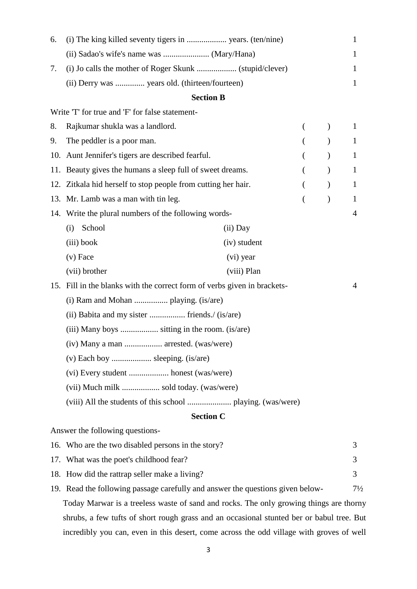| 6.  |                                                                                           |              |  |  | 1              |  |
|-----|-------------------------------------------------------------------------------------------|--------------|--|--|----------------|--|
|     |                                                                                           |              |  |  | 1              |  |
| 7.  | 1                                                                                         |              |  |  |                |  |
|     | (ii) Derry was  years old. (thirteen/fourteen)                                            |              |  |  | 1              |  |
|     | <b>Section B</b>                                                                          |              |  |  |                |  |
|     | Write 'T' for true and 'F' for false statement-                                           |              |  |  |                |  |
| 8.  | Rajkumar shukla was a landlord.                                                           |              |  |  | 1              |  |
| 9.  | The peddler is a poor man.                                                                |              |  |  | 1              |  |
| 10. | Aunt Jennifer's tigers are described fearful.                                             |              |  |  | 1              |  |
| 11. | Beauty gives the humans a sleep full of sweet dreams.                                     |              |  |  | 1              |  |
| 12. | Zitkala hid herself to stop people from cutting her hair.                                 |              |  |  | 1              |  |
|     | 13. Mr. Lamb was a man with tin leg.                                                      |              |  |  | 1              |  |
|     | 14. Write the plural numbers of the following words-                                      |              |  |  | 4              |  |
|     | School<br>(i)                                                                             | $(ii)$ Day   |  |  |                |  |
|     | (iii) book                                                                                | (iv) student |  |  |                |  |
|     | $(v)$ Face                                                                                | (vi) year    |  |  |                |  |
|     | (vii) brother                                                                             | (viii) Plan  |  |  |                |  |
| 15. | Fill in the blanks with the correct form of verbs given in brackets-                      |              |  |  | 4              |  |
|     |                                                                                           |              |  |  |                |  |
|     | (ii) Babita and my sister  friends./ (is/are)                                             |              |  |  |                |  |
|     | (iii) Many boys  sitting in the room. (is/are)                                            |              |  |  |                |  |
|     | (iv) Many a man  arrested. (was/were)                                                     |              |  |  |                |  |
|     | (v) Each boy  sleeping. (is/are)                                                          |              |  |  |                |  |
|     |                                                                                           |              |  |  |                |  |
|     | (vii) Much milk  sold today. (was/were)                                                   |              |  |  |                |  |
|     |                                                                                           |              |  |  |                |  |
|     | <b>Section C</b>                                                                          |              |  |  |                |  |
|     | Answer the following questions-                                                           |              |  |  |                |  |
|     | 16. Who are the two disabled persons in the story?                                        |              |  |  | 3              |  |
|     | 17. What was the poet's childhood fear?                                                   |              |  |  | 3              |  |
|     | 18. How did the rattrap seller make a living?                                             |              |  |  | 3              |  |
|     | 19. Read the following passage carefully and answer the questions given below-            |              |  |  | $7\frac{1}{2}$ |  |
|     | Today Marwar is a treeless waste of sand and rocks. The only growing things are thorny    |              |  |  |                |  |
|     | shrubs, a few tufts of short rough grass and an occasional stunted ber or babul tree. But |              |  |  |                |  |

incredibly you can, even in this desert, come across the odd village with groves of well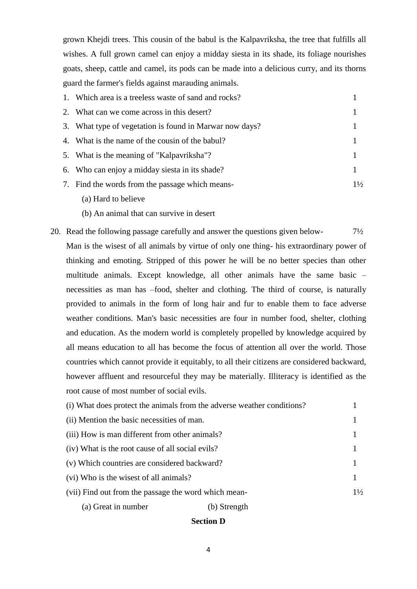grown Khejdi trees. This cousin of the babul is the Kalpavriksha, the tree that fulfills all wishes. A full grown camel can enjoy a midday siesta in its shade, its foliage nourishes goats, sheep, cattle and camel, its pods can be made into a delicious curry, and its thorns guard the farmer's fields against marauding animals.

| 1. Which area is a treeless waste of sand and rocks?    |                |
|---------------------------------------------------------|----------------|
| 2. What can we come across in this desert?              |                |
| 3. What type of vegetation is found in Marwar now days? |                |
| 4. What is the name of the cousin of the babul?         |                |
| 5. What is the meaning of "Kalpavriksha"?               |                |
| 6. Who can enjoy a midday siesta in its shade?          |                |
| 7. Find the words from the passage which means-         | $1\frac{1}{2}$ |
|                                                         |                |

- (a) Hard to believe
- (b) An animal that can survive in desert
- 20. Read the following passage carefully and answer the questions given below- 7½ Man is the wisest of all animals by virtue of only one thing- his extraordinary power of thinking and emoting. Stripped of this power he will be no better species than other multitude animals. Except knowledge, all other animals have the same basic – necessities as man has –food, shelter and clothing. The third of course, is naturally provided to animals in the form of long hair and fur to enable them to face adverse weather conditions. Man's basic necessities are four in number food, shelter, clothing and education. As the modern world is completely propelled by knowledge acquired by all means education to all has become the focus of attention all over the world. Those countries which cannot provide it equitably, to all their citizens are considered backward, however affluent and resourceful they may be materially. Illiteracy is identified as the root cause of most number of social evils.

| (i) What does protect the animals from the adverse weather conditions? |                |
|------------------------------------------------------------------------|----------------|
| (ii) Mention the basic necessities of man.                             |                |
| (iii) How is man different from other animals?                         |                |
| (iv) What is the root cause of all social evils?                       |                |
| (v) Which countries are considered backward?                           |                |
| (vi) Who is the wisest of all animals?                                 |                |
| (vii) Find out from the passage the word which mean-                   | $1\frac{1}{2}$ |
| (a) Great in number<br>(b) Strength                                    |                |

### **Section D**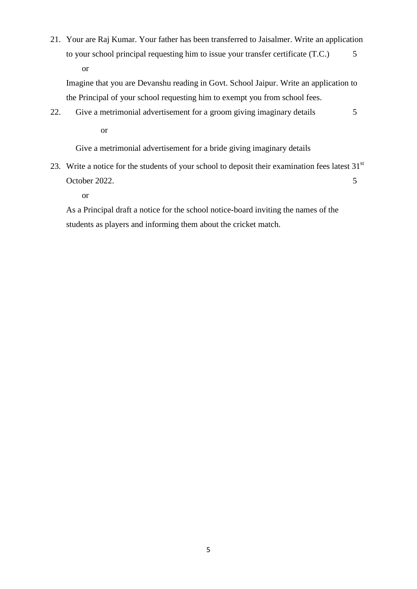21. Your are Raj Kumar. Your father has been transferred to Jaisalmer. Write an application to your school principal requesting him to issue your transfer certificate (T.C.)  $\qquad 5$ or

Imagine that you are Devanshu reading in Govt. School Jaipur. Write an application to the Principal of your school requesting him to exempt you from school fees.

22. Give a metrimonial advertisement for a groom giving imaginary details 5 or

Give a metrimonial advertisement for a bride giving imaginary details

23. Write a notice for the students of your school to deposit their examination fees latest  $31<sup>st</sup>$ October 2022. 5

or

As a Principal draft a notice for the school notice-board inviting the names of the students as players and informing them about the cricket match.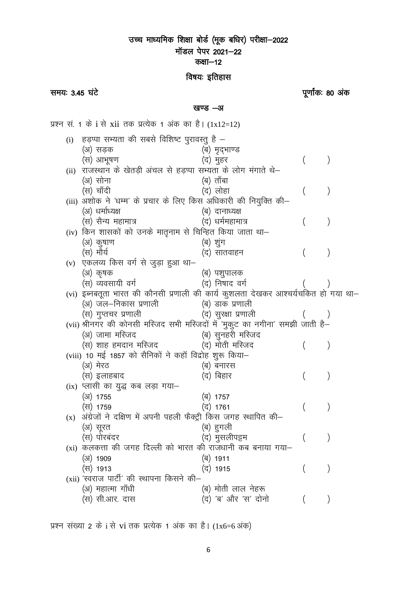### उच्च माध्यमिक शिक्षा बोर्ड (मूक बधिर) परीक्षा–2022 मॉडल पेपर 2021-22 कक्षा-12

### विषयः इतिहास

समय: 3.45 घंटे

पर्णांकः 80 अंक

खण्ड -अ

प्रश्न सं. 1 के i से xii तक प्रत्येक 1 अंक का है। (1x12=12) (i) हडप्पा सभ्यता की सबसे विशिष्ट पुरावस्तु है – (अ) सडक (ब) मृद्भाण्ड (स) आभूषण (द) मुहर  $\left( \right)$ (ii) राजस्थान के खेतडी अंचल से हडप्पा सभ्यता के लोग मंगाते थे– (अ) सोना (ब) ताँबा (स) चाँदी (द) लोहा  $\left( \right)$ (iii) अशोक ने 'धम्म' के प्रचार के लिए किस अधिकारी की नियुक्ति की– (अ) धर्माध्यक्ष (ब) दानाध्यक्ष (स) सैन्य महामात्र (द) धर्ममहामात्र  $\left( \right)$  $\left($ (iv) किन शासकों को उनके मातृनाम से चिन्हित किया जाता था– (अ) कृषाण (ब) शूंग (स) मौर्य (द) सातवाहन  $\left( \right)$  $\left($ (v) एकलव्य किस वर्ग से जुड़ा हुआ था-(अ) कृषक (ब) पशुपालक (स) व्यवसायी वर्ग (द) निषाद वर्ग (vi) इब्नबतूता भारत की कौनसी प्रणाली की कार्य कुशलता देखकर आश्चर्यचकित हो गया था– (अ) जल–निकास प्रणाली (ब) डाक प्रणाली (द) सुरक्षा प्रणाली (स) गुप्तचर प्रणाली (vii) श्रीनगर की कोनसी मस्जिद सभी मस्जिदों में 'मुकुट का नगीना' समझी जाती है– (अ) जामा मस्जिद (ब) सुनहरी मस्जिद (द) मोती मस्जिद (स) शाह हमदान मस्जिद  $\mathcal{E}$ (viii) 10 मई 1857 को सैनिकों ने कहाँ विद्रोह शुरू किया– (अ) मेरठ (ब) बनारस (द) बिहार (स) इलाहबाद  $\left( \right)$  $(ix)$  प्लासी का युद्ध कब लड़ा गया–  $(31)$  1755 (ৰ) 1757 (स) 1759 (द) 1761  $\mathcal{E}$  $(x)$  अंग्रेजों ने दक्षिण में अपनी पहली फैक्ट्री किस जगह स्थापित की– (अ) सूरत (ब) हुगली (स) पोरबंदर (द) मुसलीपट्टम  $\left( \right)$  $\overline{\mathcal{L}}$  $(xi)$  कलकत्ता की जगह दिल्ली को भारत की राजधानी कब बनाया गया- $(3)$  1909 (ৰ) 1911 (स) 1913 (द) 1915  $\left( \right)$ (xii) 'स्वराज पार्टी' की स्थापना किसने की-(अ) महात्मा गाँधी (ब) मोती लाल नेहरू (द) 'ब' और 'स' दोनो (स) सी.आर. दास  $\mathcal{E}$  $\left($ 

प्रश्न संख्या 2 के i से vi तक प्रत्येक 1 अंक का है। (1x6=6 अंक)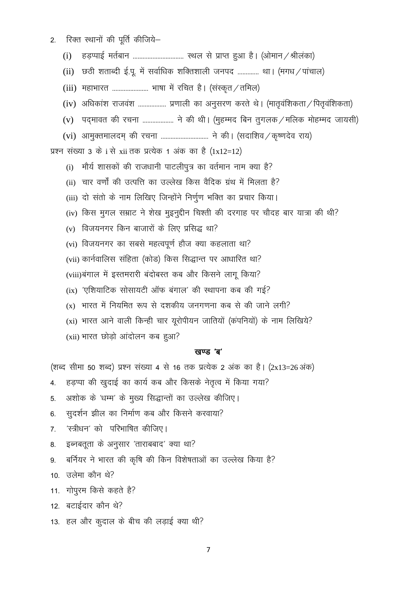रिक्त स्थानों की पूर्ति कीजिये—  $2.$ 

> $(i)$

(ii) छठी शताब्दी ई.पू. में सर्वाधिक शक्तिशाली जनपद ............. था। (मगध / पांचाल)

(iii) महाभारत ........................ भाषा में रचित है। (संस्कृत / तमिल)

- (iv) अधिकांश राजवंश .................. प्रणाली का अनुसरण करते थे। (मातृवंशिकता / पितृवंशिकता)
- (v) पद्मावत की रचना ................... ने की थी। (मुहम्मद बिन तुगलक / मलिक मोहम्मद जायसी)
- (vi) आमुक्तमालदम् की रचना .............................. ने की। (सदाशिव / कृष्णदेव राय)

प्रश्न संख्या 3 के i से xii तक प्रत्येक 1 अंक का है (1x12=12)

- मौर्य शासकों की राजधानी पाटलीपुत्र का वर्तमान नाम क्या है?  $(i)$
- (ii) चार वर्णों की उत्पत्ति का उल्लेख किस वैदिक ग्रंथ में मिलता है?
- (iii) दो संतो के नाम लिखिए जिन्होंने निर्णूण भक्ति का प्रचार किया।
- (iv) किस मुगल सम्राट ने शेख मुइनुद्दीन चिश्ती की दरगाह पर चौदह बार यात्रा की थी?
- $(v)$  विजयनगर किन बाजारों के लिए प्रसिद्ध था?
- (vi) विजयनगर का सबसे महत्वपूर्ण हौज क्या कहलाता था?
- (vii) कार्नवालिस संहिता (कोड) किस सिद्धान्त पर आधारित था?
- (viii)बंगाल में इस्तमरारी बंदोबस्त कब और किसने लागू किया?
- (ix) 'एशियाटिक सोसायटी ऑफ बंगाल' की स्थापना कब की गई?
- $(x)$  भारत में नियमित रूप से दशकीय जनगणना कब से की जाने लगी?
- (xi) भारत आने वाली किन्ही चार यूरोपीयन जातियों (कंपनियों) के नाम लिखिये?
- (xii) भारत छोड़ो आंदोलन कब हुआ?

### खण्ड 'ब'

(शब्द सीमा 50 शब्द) प्रश्न संख्या 4 से 16 तक प्रत्येक 2 अंक का है। (2x13=26 अंक)

- हड़प्पा की खुदाई का कार्य कब और किसके नेतृत्व में किया गया?  $4.$
- अशोक के 'धम्म' के मुख्य सिद्धान्तों का उल्लेख कीजिए।  $5<sub>1</sub>$
- सुदर्शन झील का निर्माण कब और किसने करवाया? 6.
- 'स्त्रीधन' को परिभाषित कीजिए।  $7<sup>1</sup>$
- इब्नबतूता के अनुसार 'ताराबबाद' क्या था? 8.
- बर्नियर ने भारत की कृषि की किन विशेषताओं का उल्लेख किया है? 9.
- 10. उलेमा कौन थे?
- 11. गोपुरम किसे कहते है?
- 12. बटाईदार कौन थे?
- 13. हल और कुदाल के बीच की लड़ाई क्या थी?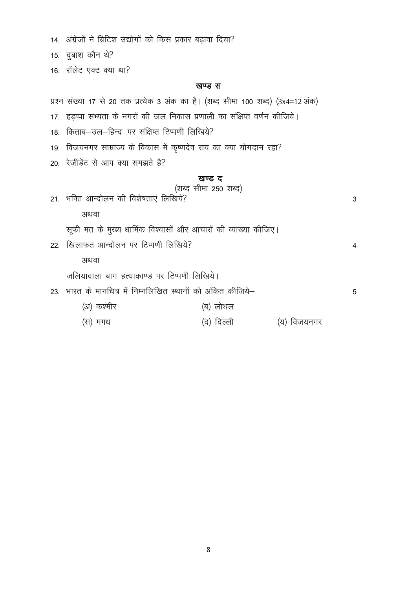|  |  | 14. अंग्रेजों ने ब्रिटिश उद्योगों को किस प्रकार बढ़ावा दिया? |  |  |  |
|--|--|--------------------------------------------------------------|--|--|--|

15. दुबाश कौन थे?

16. रॉलेट एक्ट क्या था?

### खण्ड स

|  |  |  |  |  |  |  | प्रश्न संख्या 17 से 20 तक प्रत्येक 3 अंक का है। (शब्द सीमा 100 शब्द) (3x4=12 अंक) |  |
|--|--|--|--|--|--|--|-----------------------------------------------------------------------------------|--|
|  |  |  |  |  |  |  |                                                                                   |  |

- 17. हड़प्पा सभ्यता के नगरों की जल निकास प्रणाली का संक्षिप्त वर्णन कीजिये।
- 18. किताब-उल-हिन्द' पर संक्षिप्त टिप्पणी लिखिये?
- 19. विजयनगर साम्राज्य के विकास में कृष्णदेव राय का क्या योगदान रहा?
- 20. रेजीडेंट से आप क्या समझते है?

### ਕਰਾਫ਼ ਟ

|                                                              | (शब्द सीमा 250 शब्द)                                            |         |   |
|--------------------------------------------------------------|-----------------------------------------------------------------|---------|---|
| 21. भक्ति आन्दोलन की विशेषताएं लिखिये?                       |                                                                 |         | 3 |
| अथवा                                                         |                                                                 |         |   |
|                                                              | सूफी मत के मुख्य धार्मिक विश्वासों और आचारों की व्याख्या कीजिए। |         |   |
| 22. खिलाफत आन्दोलन पर टिप्पणी लिखिये?                        |                                                                 |         | 4 |
| अथवा                                                         |                                                                 |         |   |
| जलियावाला बाग हत्याकाण्ड पर टिप्पणी लिखिये।                  |                                                                 |         |   |
| 23. भारत के मानचित्र में निम्नलिखित स्थानों को अंकित कीजिये– |                                                                 |         | 5 |
| (अ) कश्मीर                                                   | (ब) लोथल                                                        |         |   |
| (स) मगध                                                      | (द) दिल्ली                                                      | विजयनगर |   |
|                                                              |                                                                 |         |   |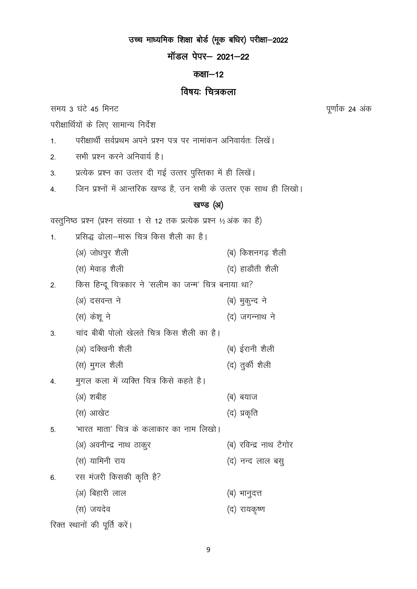उच्च माध्यमिक शिक्षा बोर्ड (मूक बधिर) परीक्षा-2022

मॉडल पेपर- 2021-22

### कक्षा $-12$

# विषयः चित्रकला

समय 3 घंटे 45 मिनट

परीक्षार्थियों के लिए सामान्य निर्देश

- परीक्षार्थी सर्वप्रथम अपने प्रश्न पत्र पर नामांकन अनिवार्यतः लिखें।  $1.$
- सभी प्रश्न करने अनिवार्य है।  $2.$
- प्रत्येक प्रश्न का उत्तर दी गई उत्तर पुरितका में ही लिखें।  $3<sub>l</sub>$
- जिन प्रश्नों में आन्तरिक खण्ड है, उन सभी के उत्तर एक साथ ही लिखो।  $\overline{4}$

# खण्ड (अ)

वस्तुनिष्ठ प्रश्न (प्रश्न संख्या 1 से 12 तक प्रत्येक प्रश्न ½ अंक का है)

प्रसिद्ध ढोला-मारू चित्र किस शैली का है।  $1<sub>1</sub>$ 

|                  | (अ) जोधपुर शैली                                       | (ब) किशनगढ़ शैली       |
|------------------|-------------------------------------------------------|------------------------|
|                  | (स) मेवाड़ शैली                                       | (द) हाडौती शैली        |
| 2.               | किस हिन्दू चित्रकार ने 'सलीम का जन्म' चित्र बनाया था? |                        |
|                  | (अ) दसवन्त ने                                         | (ब) मुकुन्द ने         |
|                  | (स) केशू ने                                           | (द) जगन्नाथ ने         |
| 3.               | चांद बीबी पोलो खेलते चित्र किस शैली का है।            |                        |
|                  | (अ) दक्खिनी शैली                                      | (ब) ईरानी शैली         |
|                  | (स) मुगल शैली                                         | (द) तुर्की शैली        |
| $\overline{4}$ . | मुगल कला में व्यक्ति चित्र किसे कहते है।              |                        |
|                  | (अ) शबीह                                              | (ब) बयाज               |
|                  | (स) आखेट                                              | (द) प्रकृति            |
| 5.               | 'भारत माता' चित्र के कलाकार का नाम लिखो।              |                        |
|                  | (अ) अवनीन्द्र नाथ ठाकुर                               | (ब) रविन्द्र नाथ टैगोर |
|                  | (स) यामिनी राय                                        | (द) नन्द लाल बसु       |
| 6.               | रस मंजरी किसकी कृति है?                               |                        |
|                  | (अ) बिहारी लाल                                        | (ब) भानुदत्त           |
|                  | (स) जयदेव                                             | (द) रायकृष्ण           |
|                  |                                                       |                        |

रिक्त स्थानों की पूर्ति करें।

9

पूर्णांक 24 अंक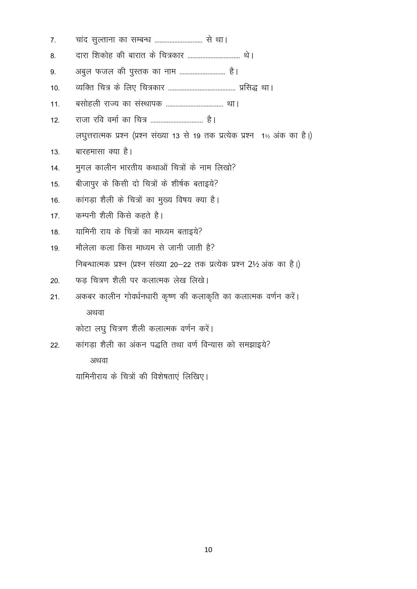| 7.  | चांद सुल्ताना का सम्बन्ध  से था।                                              |
|-----|-------------------------------------------------------------------------------|
| 8.  |                                                                               |
| 9.  | अबुल फजल की पुस्तक का नाम  है।                                                |
| 10. |                                                                               |
| 11. |                                                                               |
| 12. | राजा रवि वर्मा का चित्र  है।                                                  |
|     | लघुत्तरात्मक प्रश्न (प्रश्न संख्या 13 से 19 तक प्रत्येक प्रश्न 1½ अंक का है।) |
| 13. | बारहमासा क्या है।                                                             |
| 14. | मुगल कालीन भारतीय कथाओं चित्रों के नाम लिखो?                                  |
| 15. | बीजापुर के किसी दो चित्रों के शीर्षक बताइये?                                  |
| 16. | कांगड़ा शैली के चित्रों का मुख्य विषय क्या है।                                |
| 17. | कम्पनी शैली किसे कहते है।                                                     |
| 18. | यामिनी राय के चित्रों का माध्यम बताइये?                                       |
| 19. | मौलेला कला किस माध्यम से जानी जाती है?                                        |
|     | निबन्धात्मक प्रश्न (प्रश्न संख्या 20—22 तक प्रत्येक प्रश्न 2½ अंक का है।)     |
| 20. | फड चित्रण शैली पर कलात्मक लेख लिखे।                                           |
| 21. | अकबर कालीन गोवर्धनधारी कृष्ण की कलाकृति का कलात्मक वर्णन करें।                |
|     | अथवा                                                                          |
|     | कोटा लघु चित्रण शैली कलात्मक वर्णन करें।                                      |
| 22. | कांगड़ा शैली का अंकन पद्धति तथा वर्ण विन्यास को समझाइये?                      |
|     | अथवा                                                                          |

यामिनीराय के चित्रों की विशेषताएं लिखिए।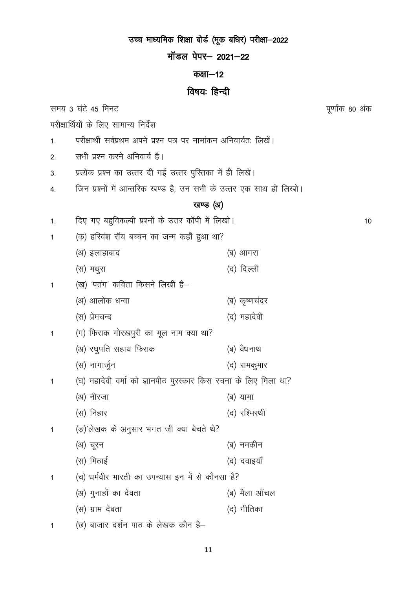# उच्च माध्यमिक शिक्षा बोर्ड (मूक बधिर) परीक्षा-2022

मॉडल पेपर- 2021-22

### कक्षा-12

# विषयः हिन्दी

समय 3 घंटे 45 मिनट

परीक्षार्थियों के लिए सामान्य निर्देश

- परीक्षार्थी सर्वप्रथम अपने प्रश्न पत्र पर नामांकन अनिवार्यतः लिखें।  $\mathbf{1}$ .
- सभी प्रश्न करने अनिवार्य है।  $\overline{2}$
- प्रत्येक प्रश्न का उत्तर दी गई उत्तर पुस्तिका में ही लिखें।  $3<sub>l</sub>$
- जिन प्रश्नों में आन्तरिक खण्ड है, उन सभी के उत्तर एक साथ ही लिखो।  $\overline{4}$

### खण्ड (अ)

दिए गए बहुविकल्पी प्रश्नों के उत्तर कॉपी में लिखो।  $1.$ 

- (क) हरिवंश रॉय बच्चन का जन्म कहाँ हुआ था?  $\overline{1}$ 
	- (अ) इलाहाबाद (ब) आगरा
		- (द) दिल्ली (स) मथुरा
- (ख) 'पतंग' कविता किसने लिखी है- $\mathbf{1}$ 
	- (ब) कृष्णचंदर (अ) आलोक धन्वा
	- (द) महादेवी (स) प्रेमचन्द
- (ग) फिराक गोरखपुरी का मूल नाम क्या था?  $\overline{1}$ 
	- (अ) रघुपति सहाय फिराक (ब) वैधनाथ (स) नागार्जुन
- (द) रामकुमार
- (घ) महादेवी वर्मा को ज्ञानपीठ पुरस्कार किस रचना के लिए मिला था?  $\mathbf{1}$ 
	- (अ) नीरजा (ब) यामा
	- (स) निहार (द) रश्मिरथी (ङ)'लेखक के अनुसार भगत जी क्या बेचते थे?
	- (अ) चूरन (ब) नमकीन
	- (स) मिठाई (द) दवाइयाँ
- (च) धर्मवीर भारती का उपन्यास इन में से कौनसा है?  $\mathbf{1}$ (अ) गुनाहों का देवता (ब) मैला आँचल
	- (स) ग्राम देवता (द) गीतिका

(छ) बाजार दर्शन पाठ के लेखक कौन है- $\overline{1}$ 

 $\mathbf{1}$ 

पूर्णांक 80 अंक

 $10$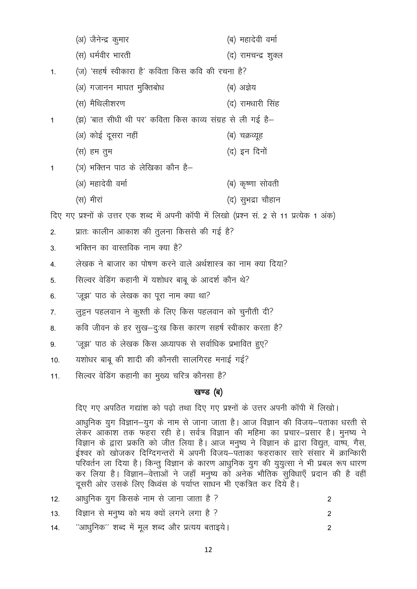(अ) जैनेन्द्र कुमार (ब) महादेवी वर्मा (स) धर्मवीर भारती (द) रामचन्द्र शुक्ल (ज) 'सहर्ष स्वीकारा है' कविता किस कवि की रचना है?  $1.$ (अ) गजानन माघत मुक्तिबोध (ब) अज्ञेय (स) मैथिलीशरण (द) रामधारी सिंह (झ) 'बात सीधी थी पर' कविता किस काव्य संग्रह से ली गई है–  $\overline{1}$ (अ) कोई दूसरा नहीं (ब) चक्रव्यह (द) इन दिनों (स) हम तुम (ञ) भक्तिन पाठ के लेखिका कौन है–  $\overline{1}$ (अ) महादेवी वर्मा (ब) कृष्णा सोवती (स) मीरां (द) सुभद्रा चौहान दिए गए प्रश्नों के उत्तर एक शब्द में अपनी कॉपी में लिखो (प्रश्न सं. 2 से 11 प्रत्येक 1 अंक) प्रातः कालीन आकाश की तूलना किससे की गई है?  $2.$ भक्तिन का वास्तविक नाम क्या है?  $3<sub>l</sub>$ लेखक ने बाजार का पोषण करने वाले अर्थशास्त्र का नाम क्या दिया?  $\overline{4}$ . सिल्वर वेडिंग कहानी में यशोधर बाबू के आदर्श कौन थे?  $5<sub>1</sub>$ 'जूझ' पाठ के लेखक का पूरा नाम क्या था? 6. लुट्टन पहलवान ने कुश्ती के लिए किस पहलवान को चुनौती दी?  $\overline{7}$ . कवि जीवन के हर सुख-दुःख किस कारण सहर्ष स्वीकार करता है?  $8<sub>1</sub>$ 'जूझ' पाठ के लेखक किस अध्यापक से सर्वाधिक प्रभावित हुए? 9.

- यशोधर बाबू की शादी की कौनसी सालगिरह मनाई गई?  $10.$
- सिल्वर वेडिंग कहानी का मुख्य चरित्र कौनसा है?  $11.$

### खण्ड (ब)

दिए गए अपठित गद्यांश को पढ़ो तथा दिए गए प्रश्नों के उत्तर अपनी कॉपी में लिखो।

आधुनिक युग विज्ञान–युग के नाम से जाना जाता है। आज विज्ञान की विजय–पताका धरती से लेकर आकाश तक फहरा रही हे। सर्वत्र विज्ञान की महिमा का प्रचार–प्रसार है। मुनष्य ने विज्ञान के द्वारा प्रकति को जीत लिया है। आज मनुष्य ने विज्ञान के द्वारा विद्युत, वाष्प, गैस, ईश्वर को खोजकर दिग्दिगन्तरों में अपनी विजय–पंताका फहराकार सारे संसार में क्रान्किारी परिवर्तन ला दिया है। किन्तू विज्ञान के कारण आधुनिक युग की युयुत्सा ने भी प्रबल रूप धारण कर लिया है। विज्ञान-वेत्ताओं ने जहाँ मनुष्य को अनेक भौतिक सुविधाएँ प्रदान की है वहीं दूसरी ओर उसके लिए विध्वंस के पर्याप्त साधन भी एकत्रित कर दिये है।

| 12. आधुनिक युग किसके नाम से जाना जाता है ?        |  |
|---------------------------------------------------|--|
| 13. विज्ञान से मनुष्य को भय क्यों लगने लगा है ?   |  |
| 14. "आधुनिक" शब्द में मूल शब्द और प्रत्यय बताइये। |  |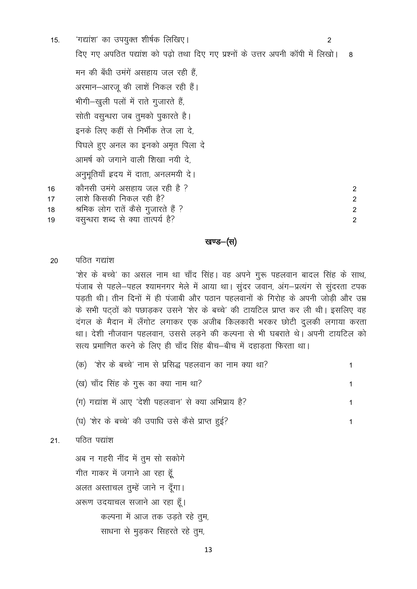'गद्यांश' का उपयुक्त शीर्षक लिखिए। 15. 2 दिए गए अपठित पद्यांश को पढ़ो तथा दिए गए प्रश्नों के उत्तर अपनी कॉपी में लिखो। - 8 मन की बँधी उमंगें असहाय जल रही हैं अरमान-आरज की लाशें निकल रही हैं। भीगी-खुली पलों में राते गुजारते हैं, सोती वसुन्धरा जब तुमको पुकारते है। इनके लिए कहीं से निर्भीक तेज ला दे, पिघले हुए अनल का इनको अमत पिला दे आमर्ष को जगाने वाली शिखा नयी दे अनुभूतियाँ इदय में दाता, अनलमयी दे। कौनसी उमंगे असहाय जल रही है ?  $16$  $\mathcal{P}$ लाशे किसकी निकल रही है?  $17$ 2 श्रमिक लोग रातें कैसे गुजारते हैं ? 18  $\overline{2}$ वसन्धरा शब्द से क्या तात्पर्य है? 19  $\mathfrak{p}$ 

खण्ड–(स)

पतित गद्यांश 20

> 'शेर के बच्चे' का असल नाम था चाँद सिंह। वह अपने गुरू पहलवान बादल सिंह के साथ, पंजाब से पहले-पहल श्यामनगर मेले में आया था। सूंदर जवान, अंग-प्रत्यंग से सूंदरता टपक पड़ती थी। तीन दिनों में ही पंजाबी और पठान पहलवानों के गिरोह के अपनी जोड़ी और उम्र के सभी पटठों को पछाडकर उसने 'शेर के बच्चे' की टायटिल प्राप्त कर ली थी। इसलिए वह दंगल के मैदान में लँगोट लगाकर एक अजीब किलकारी भरकर छोटी दुलकी लगाया करता था। देशी नौजवान पहलवान, उससे लड़ने की कल्पना से भी घबराते थे। अपनी टायटिल को सत्य प्रमाणित करने के लिए ही चाँद सिंह बीच–बीच में दहाड़ता फिरता था।

| (क) 'शेर के बच्चे' नाम से प्रसिद्ध पहलवान का नाम क्या था? |  |
|-----------------------------------------------------------|--|
| (ख) चाँद सिंह के गुरू का क्या नाम था?                     |  |

 $\mathbf{1}$ 

 $\mathbf{1}$ 

(ग) गद्यांश में आए 'देशी पहलवान' से क्या अभिप्राय है?

(घ) 'शेर के बच्चे' की उपाधि उसे कैसे प्राप्त हुई?

### पठित पद्यांश  $21.$

अब न गहरी नींद में तूम सो सकोगे गीत गाकर में जगाने आ रहा हूँ अलत अस्ताचल तुम्हें जाने न दूँगा। अरूण उदयाचल सजाने आ रहा हैं। कल्पना में आज तक उड़ते रहे तुम, साधना से मुड़कर सिहरते रहे तुम,

13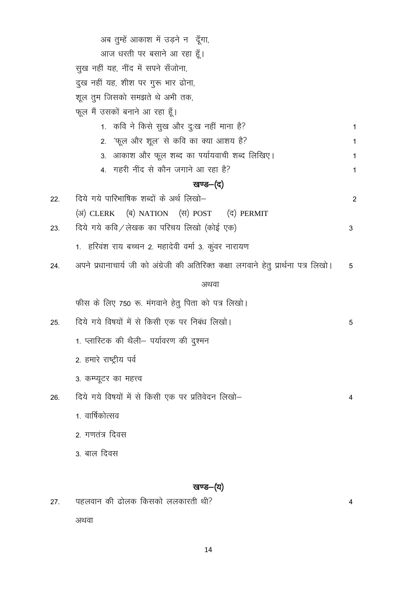|     | अब तुम्हें आकाश में उड़ने न दूँगा,                                                  |   |
|-----|-------------------------------------------------------------------------------------|---|
|     | आज धरती पर बसाने आ रहा हूँ।                                                         |   |
|     | सुख नहीं यह, नींद में सपने सँजोना,                                                  |   |
|     | दुख नहीं यह, शीश पर गुरू भार ढोना,                                                  |   |
|     | शूल तुम जिसको समझते थे अभी तक,                                                      |   |
|     | फूल मैं उसकों बनाने आ रहा हूँ।                                                      |   |
|     | 1. कवि ने किसे सुख और दुःख नहीं माना है?                                            | 1 |
|     | 'फूल और शूल' से कवि का क्या आशय है?<br>2.                                           | 1 |
|     | 3.  आकाश और फूल शब्द का पर्यायवाची शब्द लिखिए।                                      | 1 |
|     | 4.  गहरी नींद से कौन जगाने आ रहा है?                                                | 1 |
|     | खण्ड—(द)                                                                            |   |
| 22. | दिये गये पारिभाषिक शब्दों के अर्थ लिखो–                                             | 2 |
|     | (अ) CLERK (ब) NATION (स) POST (द) PERMIT                                            |   |
| 23. | दिये गये कवि/लेखक का परिचय लिखो (कोई एक)                                            | 3 |
|     | 1.  हरिवंश राय बच्चन 2. महादेवी वर्मा 3. कुंवर नारायण                               |   |
| 24. | अपने प्रधानाचार्य जी को अंग्रेजी की अतिरिक्त कक्षा लगवाने हेतु प्रार्थना पत्र लिखो। | 5 |
|     | अथवा                                                                                |   |
|     | फीस के लिए 750 रू. मंगवाने हेतु पिता को पत्र लिखो।                                  |   |
| 25. | दिये गये विषयों में से किसी एक पर निबंध लिखो।                                       | 5 |
|     | 1. प्लास्टिक की थैली– पर्यावरण की दुश्मन                                            |   |
|     | 2. हमारे राष्ट्रीय पर्व                                                             |   |
|     | 3. कम्प्यूटर का महत्त्व                                                             |   |
| 26. | दिये गये विषयों में से किसी एक पर प्रतिवेदन लिखो–                                   | 4 |
|     | 1. वार्षिकोत्सव                                                                     |   |
|     | 2. गणतंत्र दिवस                                                                     |   |
|     | 3. बाल दिवस                                                                         |   |
|     |                                                                                     |   |
|     | खण्ड—(य)                                                                            |   |

पहलवान की ढोलक किसको ललकारती थी?  $27.$  $\overline{4}$ अथवा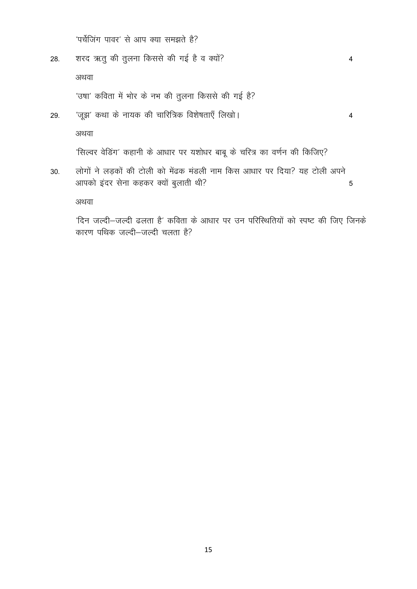'पर्चेजिंग पावर' से आप क्या समझते है?

- शरद ऋतू की तुलना किससे की गई है व क्यों? 28. अथवा 'उषा' कविता में भोर के नभ की तुलना किससे की गई है?
- 'जूझ' कथा के नायक की चारित्रिक विशेषताएँ लिखो। 29.

अथवा

'सिल्वर वेडिंग' कहानी के आधार पर यशोधर बाबू के चरित्र का वर्णन की किजिए?

लोगों ने लड़कों की टोली को मेंढक मंडली नाम किस आधार पर दिया? यह टोली अपने 30. आपको इंदर सेना कहकर क्यों बुलाती थी?  $\overline{5}$ 

अथवा

'दिन जल्दी-जल्दी ढलता है' कविता के आधार पर उन परिस्थितियों को स्पष्ट की जिए जिनके कारण पथिक जल्दी-जल्दी चलता है?

 $\overline{4}$ 

 $\overline{4}$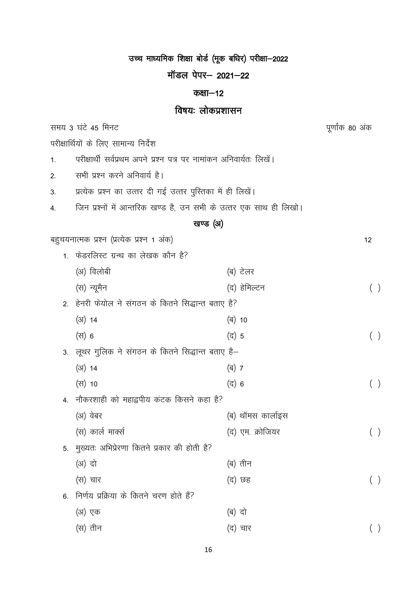उच्च माध्यमिक शिक्षा बोर्ड (मूक बधिर) परीक्षा-2022

मॉडल पेपर- 2021-22

### कक्षा-12

# विषयः लोकप्रशासन

पूर्णांक 80 अंक

समय 3 घंटे 45 मिनट

परीक्षार्थियों के लिए सामान्य निर्देश

- परीक्षार्थी सर्वप्रथम अपने प्रश्न पत्र पर नामांकन अनिवार्यतः लिखें।  $1.$
- सभी प्रश्न करने अनिवार्य है।  $2.$
- प्रत्येक प्रश्न का उत्तर दी गई उत्तर पुस्तिका में ही लिखें।  $3.$
- जिन प्रश्नों में आन्तरिक खण्ड है, उन सभी के उत्तर एक साथ ही लिखो।  $\overline{4}$ .

# खण्ड (अ)

|                | बहुचयनात्मक प्रश्न (प्रत्येक प्रश्न 1 अंक)          |                   | 12  |
|----------------|-----------------------------------------------------|-------------------|-----|
| 1.             | फेडरलिस्ट ग्रन्थ का लेखक कौन है?                    |                   |     |
|                | (अ) विलोबी                                          | (ब) टेलर          |     |
|                | (स) न्यूमैन                                         | (द) हेमिल्टन      | ( ) |
|                | 2. हेनरी फेयोल ने संगठन के कितने सिद्धान्त बताए है? |                   |     |
|                | $(31)$ 14                                           | (ब) 10            |     |
|                | (स) 6                                               | (द) 5             | ( ) |
|                | 3. लूथर गुलिक ने संगठन के कितने सिद्धान्त बताए है–  |                   |     |
|                | $(31)$ 14                                           | (ब) 7             |     |
|                | (स) 10                                              | (द) 6             | ( ) |
| 4 <sup>1</sup> | नौकरशाही को महाद्वपीय कंटक किसने कहा है?            |                   |     |
|                | (अ) वेबर                                            | (ब) थॉमस कार्लाइस |     |
|                | (स) कार्ल मार्क्स                                   | (द) एम. क्रोजियर  | ( ) |
| 5.             | मुख्यतः अभिप्रेरणा कितने प्रकार की होती है?         |                   |     |
|                | (अ) दो                                              | (ब) तीन           |     |
|                | (स) चार                                             | (द) छह            | ( ) |
| 6.             | निर्णय प्रक्रिया के कितने चरण होते हैं?             |                   |     |
|                | (अ) एक                                              | (ब) दो            |     |
|                | (स) तीन                                             | (द) चार           |     |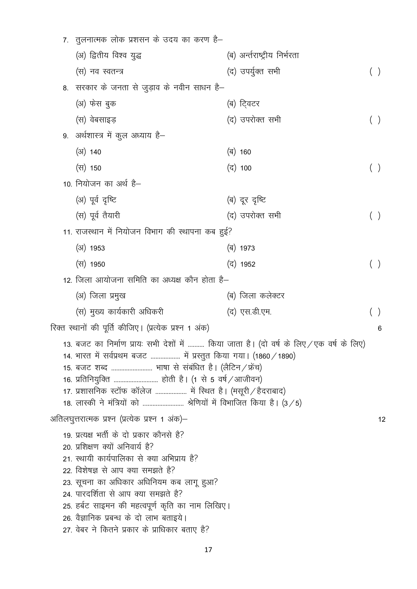|                                                                                                                                                                                                                                                                                                                                                                                                              | 7. तुलनात्मक लोक प्रशसन के उदय का करण है–                                                                                                                                                                                                                                                                                                                                                              |                              |       |    |
|--------------------------------------------------------------------------------------------------------------------------------------------------------------------------------------------------------------------------------------------------------------------------------------------------------------------------------------------------------------------------------------------------------------|--------------------------------------------------------------------------------------------------------------------------------------------------------------------------------------------------------------------------------------------------------------------------------------------------------------------------------------------------------------------------------------------------------|------------------------------|-------|----|
|                                                                                                                                                                                                                                                                                                                                                                                                              | (अ) द्वितीय विश्व युद्ध                                                                                                                                                                                                                                                                                                                                                                                | (ब) अर्न्तराष्ट्रीय निर्भरता |       |    |
|                                                                                                                                                                                                                                                                                                                                                                                                              | (स) नव स्वतन्त्र                                                                                                                                                                                                                                                                                                                                                                                       | (द) उपर्युक्त सभी            | ( )   |    |
|                                                                                                                                                                                                                                                                                                                                                                                                              | 8.  सरकार के जनता से जुड़ाव के नवीन साधन है—                                                                                                                                                                                                                                                                                                                                                           |                              |       |    |
|                                                                                                                                                                                                                                                                                                                                                                                                              | (अ) फेस बुक                                                                                                                                                                                                                                                                                                                                                                                            | (ब) टि्वटर                   |       |    |
|                                                                                                                                                                                                                                                                                                                                                                                                              | (स) वेबसाइड़                                                                                                                                                                                                                                                                                                                                                                                           | (द) उपरोक्त सभी              |       |    |
|                                                                                                                                                                                                                                                                                                                                                                                                              | 9. अर्थशास्त्र में कुल अध्याय है–                                                                                                                                                                                                                                                                                                                                                                      |                              |       |    |
|                                                                                                                                                                                                                                                                                                                                                                                                              | $(31)$ 140                                                                                                                                                                                                                                                                                                                                                                                             | (ৰ) 160                      |       |    |
|                                                                                                                                                                                                                                                                                                                                                                                                              | (स) 150                                                                                                                                                                                                                                                                                                                                                                                                | (द) 100                      | $($ ) |    |
|                                                                                                                                                                                                                                                                                                                                                                                                              | 10. नियोजन का अर्थ है–                                                                                                                                                                                                                                                                                                                                                                                 |                              |       |    |
|                                                                                                                                                                                                                                                                                                                                                                                                              | (अ) पूर्व दृष्टि                                                                                                                                                                                                                                                                                                                                                                                       | (ब) दूर दृष्टि               |       |    |
|                                                                                                                                                                                                                                                                                                                                                                                                              | (स) पूर्व तैयारी                                                                                                                                                                                                                                                                                                                                                                                       | (द) उपरोक्त सभी              | $($ ) |    |
|                                                                                                                                                                                                                                                                                                                                                                                                              | 11. राजस्थान में नियोजन विभाग की स्थापना कब हुई?                                                                                                                                                                                                                                                                                                                                                       |                              |       |    |
|                                                                                                                                                                                                                                                                                                                                                                                                              | $(31)$ 1953                                                                                                                                                                                                                                                                                                                                                                                            | (ब) 1973                     |       |    |
|                                                                                                                                                                                                                                                                                                                                                                                                              | (स) 1950                                                                                                                                                                                                                                                                                                                                                                                               | (द) 1952                     |       |    |
|                                                                                                                                                                                                                                                                                                                                                                                                              | 12. जिला आयोजना समिति का अध्यक्ष कौन होता है–                                                                                                                                                                                                                                                                                                                                                          |                              |       |    |
|                                                                                                                                                                                                                                                                                                                                                                                                              | (अ) जिला प्रमुख                                                                                                                                                                                                                                                                                                                                                                                        | (ब) जिला कलेक्टर             |       |    |
|                                                                                                                                                                                                                                                                                                                                                                                                              | (स) मुख्य कार्यकारी अधिकरी                                                                                                                                                                                                                                                                                                                                                                             | (द) एस.डी.एम.                |       |    |
|                                                                                                                                                                                                                                                                                                                                                                                                              | रिक्त स्थानों की पूर्ति कीजिए। (प्रत्येक प्रश्न 1 अंक)                                                                                                                                                                                                                                                                                                                                                 |                              |       | 6  |
| 13. बजट का निर्माण प्रायः सभी देशों में  किया जाता है। (दो वर्ष के लिए / एक वर्ष के लिए)<br>14. भारत में सर्वप्रथम बजट  में प्रस्तुत किया गया। (1860 / 1890)<br>15. बजट शब्द  भाषा से संबंधित है। (लैटिन / फ्रेंच)<br>16. प्रतिनियुक्ति  होती है। (1 से 5 वर्ष ⁄ आजीवन)<br>17. प्रशासनिक स्टॉफ कॉलेज  में स्थित है। (मसूरी / हैदराबाद)<br>18. लास्की ने मंत्रियों को  श्रेणियों में विभाजित किया है। $(3/5)$ |                                                                                                                                                                                                                                                                                                                                                                                                        |                              |       |    |
|                                                                                                                                                                                                                                                                                                                                                                                                              | अतिलघुत्तरात्मक प्रश्न (प्रत्येक प्रश्न 1 अंक)–                                                                                                                                                                                                                                                                                                                                                        |                              |       | 12 |
|                                                                                                                                                                                                                                                                                                                                                                                                              | 19. प्रत्यक्ष भर्ती के दो प्रकार कौनसे है?<br>20. प्रशिक्षण क्यों अनिवार्य है?<br>21. स्थायी कार्यपालिका से क्या अभिप्राय है?<br>22. विशेषज्ञ से आप क्या समझते है?<br>23. सूचना का अधिकार अधिनियम कब लागू हुआ?<br>24. पारदर्शिता से आप क्या समझते है?<br>25. हर्बट साइमन की महत्वपूर्ण कृति का नाम लिखिए।<br>26. वैज्ञानिक प्रबन्ध के दो लाभ बताइये।<br>27. वेबर ने कितने प्रकार के प्राधिकार बताए है? |                              |       |    |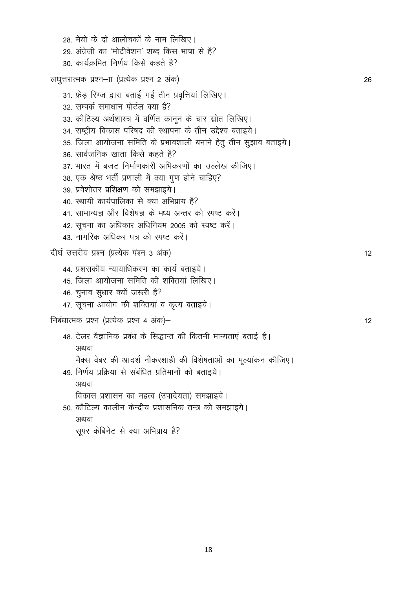28. मेयो के दो आलोचकों के नाम लिखिए। 29 अंग्रेजी का 'मोटीवेशन' शब्द किस भाषा से है? 30 कार्यक्रमित निर्णय किसे कहते है? लघुत्तरात्मक प्रश्न- ा (प्रत्येक प्रश्न 2 अंक) 26 31. फ्रेड़ रिग्ज द्वारा बताई गई तीन प्रवृत्तियां लिखिए। 32. सम्पर्क समाधान पोर्टल क्या है? 33. कौटिल्य अर्थशास्त्र में वर्णित कानून के चार स्रोत लिखिए। 34. राष्ट्रीय विकास परिषद की स्थापना के तीन उद्देश्य बताइये। 35. जिला आयोजना समिति के प्रभावशाली बनाने हेतू तीन सूझाव बताइये। 36. सार्वजनिक खाता किसे कहते है? 37. भारत में बजट निर्माणकारी अभिकरणों का उल्लेख कीजिए। 38. एक श्रेष्ठ भर्ती प्रणाली में क्या गुण होने चाहिए? 39. प्रवेशोत्तर प्रशिक्षण को समझाइये। 40. स्थायी कार्यपालिका से क्या अभिप्राय है? 41. सामान्यज्ञ और विशेषज्ञ के मध्य अन्तर को स्पष्ट करें। 42. सूचना का अधिकार अधिनियम 2005 को स्पष्ट करें। 43 नागरिक अधिकर पत्र को स्पष्ट करें। दीर्घ उत्तरीय प्रश्न (प्रत्येक पंश्न 3 अंक)  $12$ 44. प्रशसकीय न्यायाधिकरण का कार्य बताइये। 45. जिला आयोजना समिति की शक्तियां लिखिए। 46. चुनाव सुधार क्यों जरूरी है? 47. सूचना आयोग की शक्तियां व कृत्य बताइये। निबंधात्मक प्रश्न (प्रत्येक प्रश्न 4 अंक)- $12$ 48. टेलर वैज्ञानिक प्रबंध के सिद्धान्त की कितनी मान्यताएं बताई है। अथवा मैक्स वेबर की आदर्श नौकरशाही की विशेषताओं का मूल्यांकन कीजिए। 49. निर्णय प्रक्रिया से संबंधित प्रतिमानों को बताइये। अथवा विकास प्रशासन का महत्व (उपादेयता) समझाइये। 50. कौटिल्य कालीन केन्द्रीय प्रशासनिक तन्त्र को समझाइये। अथवा सूपर केबिनेट से क्या अभिप्राय है?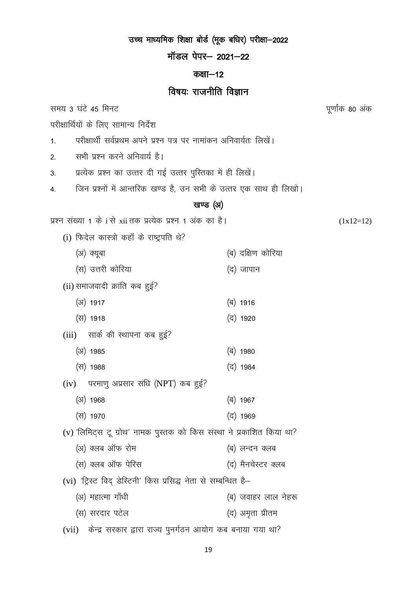## उच्च माध्यमिक शिक्षा बोर्ड (मूक बधिर) परीक्षा-2022 मॉडल पेपर- 2021-22 कक्षा-12 विषयः राजनीति विज्ञान समय 3 घंटे 45 मिनट पूर्णांक 80 अंक परीक्षार्थियों के लिए सामान्य निर्देश परीक्षार्थी सर्वप्रथम अपने प्रश्न पत्र पर नामांकन अनिवार्यतः लिखें।  $\mathbf{1}$ . सभी प्रश्न करने अनिवार्य है।  $\overline{2}$ प्रत्येक प्रश्न का उत्तर दी गई उत्तर पुस्तिका में ही लिखें।  $3<sub>l</sub>$ जिन प्रश्नों में आन्तरिक खण्ड है, उन सभी के उत्तर एक साथ ही लिखो।  $\overline{4}$ खण्ड (अ) प्रश्न संख्या 1 के i से xii तक प्रत्येक प्रश्न 1 अंक का है।  $(1x12=12)$ (i) फिदेल कास्त्रो कहाँ के राष्ट्रपति थे? (ब) दक्षिण कोरिया (अ) क्यूबा (स) उत्तरी कोरिया (द) जापान (ii) समाजवादी क्रांति कब हुई?  $(31)$  1917 (ৰ) 1916 (स) 1918 (द) 1920 (iii) सार्क की स्थापना कब हुई?  $(31)$  1985 (ৰ) 1980 (द) 1984 (स) 1988  $(iv)$  परमाणु अप्रसार संधि (NPT) कब हुई?  $(3)$  1968 (ৰ) 1967 (स) 1970 (द) 1969 (v) 'लिमिट्स टू ग्रोथ' नामक पुस्तक को किस संस्था ने प्रकाशित किया था? (अ) क्लब ऑफ रोम (ब) लन्दन क्लब (स) क्लब ऑफ पेरिस (द) मैनचेस्टर क्लब (vi) 'ट्रिस्ट विद् डेस्टिनी' किस प्रसिद्ध नेता से सम्बन्धित है-(अ) महात्मा गाँधी (ब) जवाहर लाल नेहरू (स) सरदार पटेल (द) अमृता प्रीतम (vii) केन्द्र सरकार द्वारा राज्य पुनर्गठन आयोग कब बनाया गया था?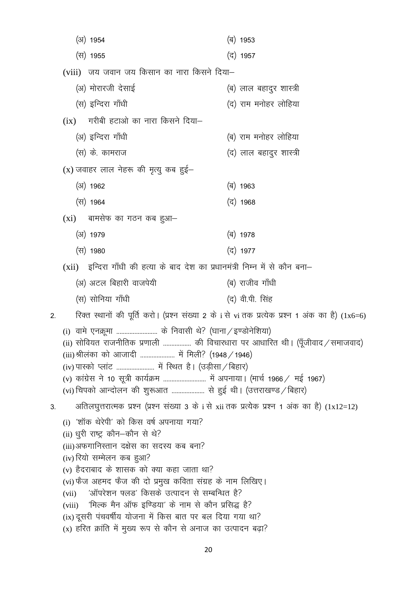$(3)$  1954 (ब) 1953 (स) 1955 (द) 1957 (viii) जय जवान जय किसान का नारा किसने दिया– (अ) मोरारजी देसाई (ब) लाल बहादुर शास्त्री (स) इन्दिरा गाँधी (द) राम मनोहर लोहिया  $(ix)$  गरीबी हटाओ का नारा किसने दिया-(अ) इन्दिरा गाँधी (ब) राम मनोहर लोहिया (स) के. कामराज (द) लाल बहादुर शास्त्री  $(x)$  जवाहर लाल नेहरू की मृत्यु कब हुई–  $(31)$  1962 (ৰ) 1963 (स) 1964 (द) 1968  $(xi)$  बामसेफ का गठन कब हुआ– (अ) 1979 (ब) 1978 (स) 1980 (द) 1977 (xii) इन्दिरा गाँधी की हत्या के बाद देश का प्रधानमंत्री निम्न में से कौन बना– (अ) अटल बिहारी वाजपेयी (ब) राजीव गाँधी (स) सोनिया गाँधी (द) वी.पी. सिंह रिक्त स्थानों की पूर्ति करो। (प्रश्न संख्या 2 के i से vi तक प्रत्येक प्रश्न 1 अंक का है) (1x6=6)  $2.$ (i) वामे एनक्रूमा ........................... के निवासी थे? (घाना / इण्डोनेशिया) (ii) सोवियत राजनीतिक प्रणाली .................. की विचारधारा पर आधारित थी। (पूँजीवाद /समाजवाद) (iii)श्रीलंका को आजादी ...................... में मिली? (1948 / 1946) (iv) पास्को प्लांट ......................... में स्थित है। (उड़ीसा / बिहार) (v) कांग्रेस ने 10 सूत्री कार्यक्रम ............................ में अपनाया। (मार्च 1966 / मई 1967) (vi) चिपको आन्दोलन की शुरूआत ..................... से हुई थी। (उत्तराखण्ड / बिहार) अतिलघुत्तरात्मक प्रश्न (प्रश्न संख्या 3 के i से xii तक प्रत्येक प्रश्न 1 अंक का है) (1x12=12)  $3<sub>1</sub>$ (i) 'शॉक थेरेपी' को किस वर्ष अपनाया गया? (ii) धूरी राष्ट्र कौन-कौन से थे? (iii) अफगानिस्तान दक्षेस का सदस्य कब बना? (iv) रियो सम्मेलन कब हुआ?  $(v)$  हैदराबाद के शासक को क्या कहा जाता था? (vi) फैज अहमद फैज की दो प्रमुख कविता संग्रह के नाम लिखिए। (vii) 'ऑपरेशन फ्लड' किसके उत्पादन से सम्बन्धित है? (viii) 'मिल्क मैन ऑफ इण्डिया' के नाम से कौन प्रसिद्ध है?  $(ix)$  दूसरी पंचवर्षीय योजना में किस बात पर बल दिया गया था? (x) हरित क्रांति में मुख्य रूप से कौन से अनाज का उत्पादन बढ़ा?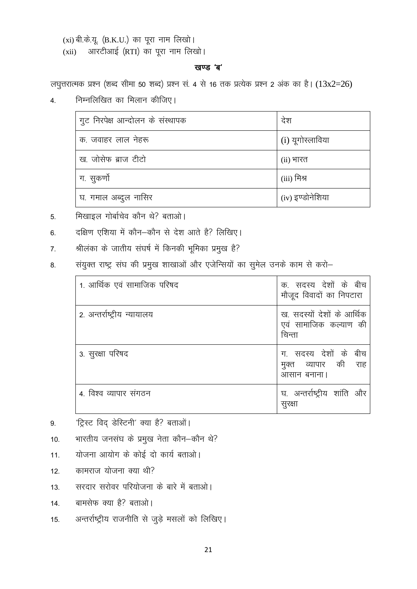(xi) बी.के.यू. (B.K.U.) का पूरा नाम लिखो।

आरटीआई (RTI) का पूरा नाम लिखो।  $(xii)$ 

### खण्ड 'ब'

लघुत्तरात्मक प्रश्न (शब्द सीमा 50 शब्द) प्रश्न सं. 4 से 16 तक प्रत्येक प्रश्न 2 अंक का है।  $(13x2=26)$ 

निम्नलिखित का मिलान कीजिए।  $\overline{4}$ .

| गुट निरपेक्ष आन्दोलन के संस्थापक | देश              |
|----------------------------------|------------------|
| क. जवाहर लाल नेहरू               | (i) यूगोस्लाविया |
| ख. जोसेफ ब्राज टीटो              | (ii) भारत        |
| ग. सुकर्णो                       | (iii) मिश्र      |
| घ. गमाल अब्दुल नासिर             | (iv) इण्डोनेशिया |

- मिखाइल गोर्बाचेव कौन थे? बताओ।  $5<sub>1</sub>$
- दक्षिण एशिया में कौन-कौन से देश आते है? लिखिए। 6.
- श्रीलंका के जातीय संघर्ष में किनकी भूमिका प्रमुख है?  $\overline{7}$ .
- संयुक्त राष्ट्र संघ की प्रमुख शाखाओं और एजेन्सियों का सुमेल उनके काम से करो-8.

| 1. आर्थिक एवं सामाजिक परिषद | क. सदस्य देशों के बीच<br>मौजूद विवादों का निपटारा             |
|-----------------------------|---------------------------------------------------------------|
| 2. अन्तर्राष्ट्रीय न्यायालय | ख. सदस्यों देशों के आर्थिक<br>एवं सामाजिक कल्याण की<br>चिन्ता |
| 3. सुरक्षा परिषद            | ग. सदस्य देशों के बीच<br>मुक्त व्यापार की राह<br>आसान बनाना।  |
| 4. विश्व व्यापार संगठन      | घ. अन्तर्राष्ट्रीय शांति और<br>सुरक्षा                        |

'ट्रिस्ट विद् डेस्टिनी' क्या है? बताओं। 9.

भारतीय जनसंघ के प्रमुख नेता कौन-कौन थे?  $10.$ 

- योजना आयोग के कोई दो कार्य बताओ।  $11.$
- कामराज योजना क्या थी?  $12.$
- सरदार सरोवर परियोजना के बारे में बताओ।  $13.$
- बामसेफ क्या है? बताओ।  $14$
- अन्तर्राष्ट्रीय राजनीति से जुड़े मसलों को लिखिए। 15.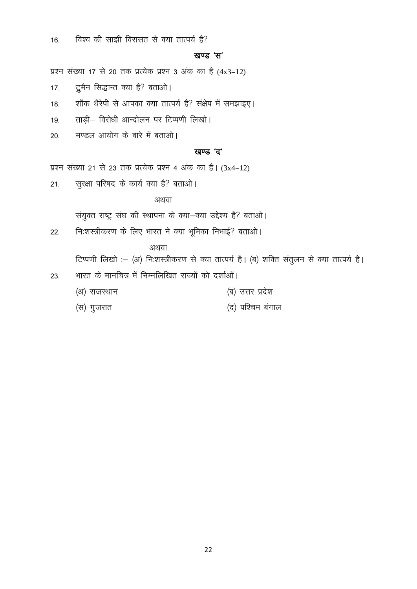विश्व की साझी विरासत से क्या तात्पर्य है?  $16.$ 

### खण्ड 'स'

प्रश्न संख्या 17 से 20 तक प्रत्येक प्रश्न 3 अंक का है (4x3=12)

- दूमैन सिद्धान्त क्या है? बताओ।  $17.$
- शॉक थैरेपी से आपका क्या तात्पर्य है? संक्षेप में समझाइए। 18.
- ताड़ी- विरोधी आन्दोलन पर टिप्पणी लिखो। 19.
- मण्डल आयोग के बारे में बताओ।  $20<sup>°</sup>$

### खण्ड 'द'

प्रश्न संख्या 21 से 23 तक प्रत्येक प्रश्न 4 अंक का है।  $(3x4=12)$ 

सुरक्षा परिषद के कार्य क्या है? बताओ।  $21.$ 

### अथवा

संयुक्त राष्ट्र संघ की स्थापना के क्या-क्या उद्देश्य है? बताओ।

निःशस्त्रीकरण के लिए भारत ने क्या भूमिका निभाई? बताओ।  $22.$ 

अथवा

टिप्पणी लिखो :- (अ) निःशस्त्रीकरण से क्या तात्पर्य है। (ब) शक्ति संतुलन से क्या तात्पर्य है।

- भारत के मानचित्र में निम्नलिखित राज्यों को दर्शाओं। 23.
	- (अ) राजस्थान (ब) उत्तर प्रदेश
	- (द) पश्चिम बंगाल (स) गुजरात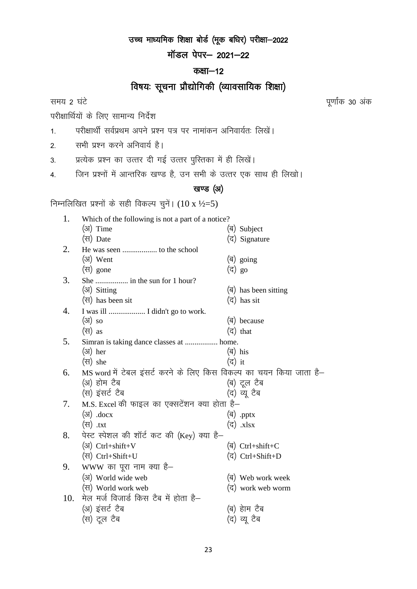# उच्च माध्यमिक शिक्षा बोर्ड (मूक बधिर) परीक्षा-2022

मॉडल पेपर- 2021-22

# कक्षा $-12$

# विषयः सूचना प्रौद्योगिकी (व्यावसायिक शिक्षा)

परीक्षार्थियों के लिए सामान्य निर्देश

- 1. परीक्षार्थी सर्वप्रथम अपने प्रश्न पत्र पर नामांकन अनिवार्यतः लिखें।
- 2. सभी प्रश्न करने अनिवार्य है।

3. प्रत्येक प्रश्न का उत्तर दी गई उत्तर पुस्तिका में ही लिखें।

4. जिन प्रश्नों में आन्तरिक खण्ड है, उन सभी के उत्तर एक साथ ही लिखो।

# खण्ड (अ)

निम्नलिखित प्रश्नों के सही विकल्प चुनें।  $(10 \text{ x } \frac{1}{2} = 5)$ 

| 1.  | Which of the following is not a part of a notice?                   |        |                                        |
|-----|---------------------------------------------------------------------|--------|----------------------------------------|
|     | (अ) Time                                                            |        | (ब) Subject                            |
|     | (स) Date                                                            |        | (द) Signature                          |
| 2.  |                                                                     |        |                                        |
|     | (अ) Went                                                            |        | (ৰ) going                              |
|     | (स) gone                                                            | (द) go |                                        |
| 3.  |                                                                     |        |                                        |
|     | (अ) Sitting                                                         |        | $(\overline{q})$ has been sitting      |
|     | (स) has been sit                                                    |        | (द) has sit                            |
| 4.  | I was ill  I didn't go to work.                                     |        |                                        |
|     | $(3)$ so                                                            |        | (ब) because                            |
|     | $(\forall f)$ as                                                    |        | (द) that                               |
| 5.  | Simran is taking dance classes at  home.                            |        |                                        |
|     | $(3)$ her                                                           |        | (ৰ) his                                |
|     | $(\forall$ she                                                      | (द) it |                                        |
| 6.  | MS word में टेबल इंसर्ट करने के लिए किस विकल्प का चयन किया जाता है– |        |                                        |
|     | (अ) होम टैब                                                         |        | (ब) टूल टैब                            |
|     | (स) इंसर्ट टैब                                                      |        | (द) व्यू टैब                           |
| 7.  | M.S. Excel की फाइल का एक्सटेंशन क्या होता है–                       |        |                                        |
|     | $(\mathcal{F})$ .docx                                               |        | (ৰ) .pptx                              |
|     | (स) .txt                                                            |        | (द) .xlsx                              |
| 8.  | पेस्ट स्पेशल की शॉर्ट कट की (Key) क्या है—                          |        |                                        |
|     | $(3)$ Ctrl+shift+V                                                  |        | $(\overline{\mathsf{q}})$ Ctrl+shift+C |
|     | (स) Ctrl+Shift+U                                                    |        | (द) Ctrl+Shift+D                       |
| 9.  | $WWW$ का पूरा नाम क्या है–                                          |        |                                        |
|     | (अ) World wide web                                                  |        | (ब) Web work week                      |
|     | (स) World work web                                                  |        | (द) work web worm                      |
| 10. | मेल मर्ज विजार्ड किस टैब में होता है–                               |        |                                        |
|     | (अ) इंसर्ट टैब                                                      |        | (ब) हेाम टैब                           |
|     | (स) टूल टैब                                                         |        | (द) व्यू टैब                           |
|     |                                                                     |        |                                        |

समय 2 घंटे किया है। अब अपनी कार्यक्रम करने के साथ प्रतिक्रिया के बाद करने के साथ प्रतिक्रिया के साथ प्रतिक्रिय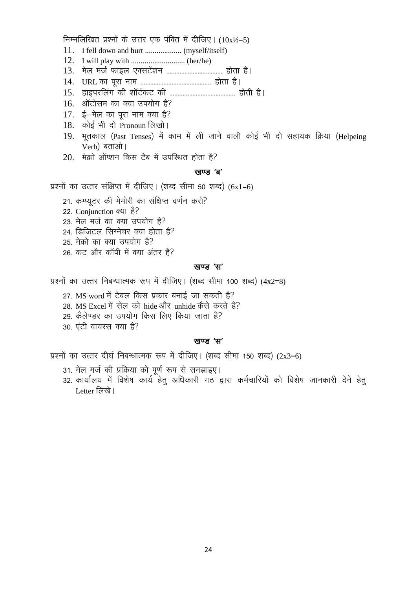निम्नलिखित प्रश्नों के उत्तर एक पंक्ति में दीजिए।  $(10x^{1/2}=5)$ 

- 
- 
- 
- 
- 
- 16. ऑटोसम का क्या उपयोग है?
- 17. ई-मेल का पूरा नाम क्या है?
- 18. कोई भी दो Pronoun लिखो।
- 19. भतकाल (Past Tenses) में काम में ली जाने वाली कोई भी दो सहायक क्रिया (Helpeing Verb) बताओ।
- 20. मेक्रो ऑप्शन किस टैब में उपस्थित होता है?

### खण्ड 'ब'

प्रश्नों का उत्तर संक्षिप्त में दीजिए। (शब्द सीमा 50 शब्द)  $(6x1=6)$ 

- 21. कम्प्यूटर की मेमोरी का संक्षिप्त वर्णन करो?
- 22. Conjunction क्या है?
- 23. मेल मर्ज का क्या उपयोग है?
- 24. डिजिटल सिग्नेचर क्या होता है?
- 25 मेक्रो का क्या उपयोग है?
- 26. कट और कॉपी में क्या अंतर है?

### खण्ड 'स'

प्रश्नों का उत्तर निबन्धात्मक रूप में दीजिए। (शब्द सीमा 100 शब्द)  $(4x2=8)$ 

- 27. MS word में टेबल किस प्रकार बनाई जा सकती है?
- 28. MS Excel में सेल को hide और unhide कैसे करते है?
- 29. कैलेण्डर का उपयोग किस लिए किया जाता है?
- 30 एंटी वायरस क्या है?

### खण्ड 'स'

प्रश्नों का उत्तर दीर्घ निबन्धात्मक रूप में दीजिए। (शब्द सीमा 150 शब्द)  $(2x3=6)$ 

- 31. मेल मर्ज की प्रक्रिया को पूर्ण रूप से समझाइए।
- 32. कार्यालय में विशेष कार्य हेतू अधिकारी गठ द्वारा कर्मचारियों को विशेष जानकारी देने हेतू Letter लिखे।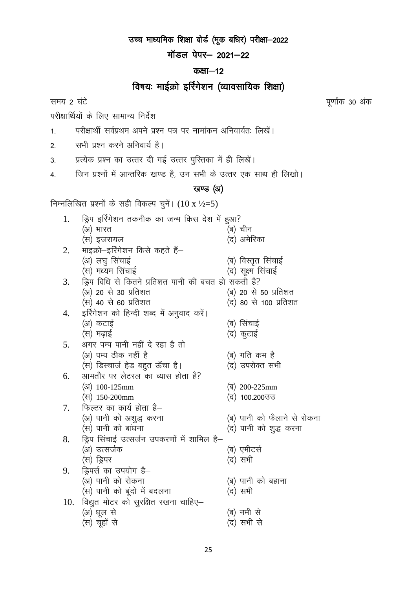उच्च माध्यमिक शिक्षा बोर्ड (मूक बधिर) परीक्षा-2022

मॉडल पेपर- 2021-22

# कक्षा $-12$

# विषयः माईक्रो इर्रिगेशन (व्यावसायिक शिक्षा)

समय 2 घंटे

परीक्षार्थियों के लिए सामान्य निर्देश

- परीक्षार्थी सर्वप्रथम अपने प्रश्न पत्र पर नामांकन अनिवार्यतः लिखें।  $1.$
- सभी प्रश्न करने अनिवार्य है।  $2.$

प्रत्येक प्रश्न का उत्तर दी गई उत्तर पुस्तिका में ही लिखें।  $3.$ 

जिन प्रश्नों में आन्तरिक खण्ड है, उन सभी के उत्तर एक साथ ही लिखो।  $4.$ 

# खण्ड (अ)

निम्नलिखित प्रश्नों के सही विकल्प चुनें।  $(10 \text{ x } \frac{1}{2} = 5)$ 

| 1.  | ड्रिप इरिंगेशन तकनीक का जन्म किस देश में हुआ?       |                             |
|-----|-----------------------------------------------------|-----------------------------|
|     | (अ) भारत                                            | (ब) चीन                     |
|     | (स) इजरायल                                          | (द) अमेरिका                 |
| 2.  | माइक्रो–इर्रिगेशन किसे कहते हैं–                    |                             |
|     | (अ) लघु सिंचाई                                      | (ब) विस्तृत सिंचाई          |
|     | (स) मध्यम सिंचाई                                    | (द) सूक्ष्म सिंचाई          |
| 3.  | ड्रिप विधि से कितने प्रतिशत पानी की बचत हो सकती है? |                             |
|     | (अ) 20 से 30 प्रतिशत                                | (ब) 20 से 50 प्रतिशत        |
|     | (स) 40 से 60 प्रतिशत                                | (द) 80 से 100 प्रतिशत       |
| 4.  | इर्रिगेशन को हिन्दी शब्द में अनुवाद करें।           |                             |
|     | (अ) कटाई                                            | (ब) सिंचाई                  |
|     | (स) मढ़ाई                                           | (द) कुटाई                   |
| 5.  | अगर पम्प पानी नहीं दे रहा है तो                     |                             |
|     | (अ) पम्प ठीक नहीं है                                | (ब) गति कम है               |
|     | (स) डिस्चार्ज हेड बहुत ऊँचा है।                     | (द) उपरोक्त सभी             |
| 6.  | आमतौर पर लेटरल का व्यास होता है?                    |                             |
|     | (31) 100-125mm                                      | $\binom{q}{200}$ -225mm     |
|     | (स) 150-200mm                                       | (द) 100.200उउ               |
| 7.  | फिल्टर का कार्य होता है–                            |                             |
|     | (अ) पानी को अशुद्ध करना                             | (ब) पानी को फैलाने से रोकना |
|     | (स) पानी को बांधना                                  | (द) पानी को शुद्ध करना      |
| 8.  | ड्रिप सिंचाई उत्सर्जन उपकरणों में शामिल है–         |                             |
|     | (अ) उत्सर्जक                                        | (ब) एमीटर्स                 |
|     | (स) ड्रिपर                                          | (द) सभी                     |
| 9.  | ड्रिपर्स का उपयोग है–                               |                             |
|     | (अ) पानी को रोकना                                   | (ब) पानी को बहाना           |
|     | (स) पानी को बूंदो में बदलना                         | (द) सभी                     |
| 10. | विद्युत मोटर को सुरक्षित रखना चाहिए-                |                             |
|     | (अ) धूल से                                          | (ब) नमी से                  |
|     | (स) चूहों से                                        | (द) सभी से                  |
|     |                                                     |                             |

पूर्णांक 30 अंक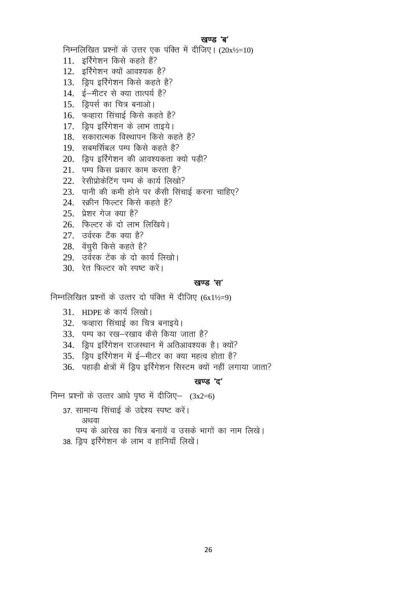### खण्ड 'ब'

निम्नलिखित प्रश्नों के उत्तर एक पंक्ति में दीजिए। (20x½=10)

- 11. इर्रिगेशन किसे कहते हैं?
- 12. इर्रिगेशन क्यों आवश्यक है?
- 13. ड्रिप इर्रिगेशन किसे कहते है?
- 14. ई-मीटर से क्या तात्पर्य है?
- 15. डिपर्स का चित्र बनाओ।
- 16. फव्हारा सिंचाई किसे कहते है?
- 17. डिप इर्रिगेशन के लाभ ताइये।
- 18. सकारात्मक विस्थापन किसे कहते है?
- 19. सबमर्सिबल पम्प किसे कहते है?
- 20. ड्रिप इर्रिगेशन की आवश्यकता क्यो पडी?
- 21. पम्प किस प्रकार काम करता है?
- 22. रेसीप्रोकेटिंग पम्प के कार्य लिखो?
- 23. पानी की कमी होने पर कैसी सिंचाई करना चाहिए?
- 24. स्क्रीन फिल्टर किसे कहते है?
- $25$  प्रेशर गेज क्या है?
- 26. फिल्टर के दो लाभ लिखिये।
- $27.$  उर्वरक टैंक क्या है?
- 28. वेंचरी किसे कहते है?
- 29. उर्वरक टेंक के दो कार्य लिखो।
- $30 \overline{3}$ त फिल्टर को स्पष्ट करें।

### खण्ड 'स'

निम्नलिखित प्रश्नों के उत्तर दो पंक्ति में दीजिए (6x1½=9)

- $31.$  HDPE के कार्य लिखो।
- 32. फव्हारा सिंचाई का चित्र बनाइये।
- 33. पम्प का रख-रखाव कैसे किया जाता है?
- 34. ड्रिप इर्रिगेशन राजस्थान में अतिआवश्यक है। क्यों?
- 35. ड्रिप इर्रिगेशन में ई-मीटर का क्या महत्व होता है?
- 36. पहाड़ी क्षेत्रों में ड्रिप इर्रिगेशन सिस्टम क्यों नहीं लगाया जाता?

### खण्ड 'द'

निम्न प्रश्नों के उत्तर आधे पृष्ठ में दीजिए-  $(3x2=6)$ 

- 37. सामान्य सिंचाई के उद्देश्य स्पष्ट करें।
	- अथवा
	- पम्प के आरेख का चित्र बनायें व उसके भागों का नाम लिखे।
- 38. ड्रिप इर्रिगेशन के लाभ व हानियाँ लिखें।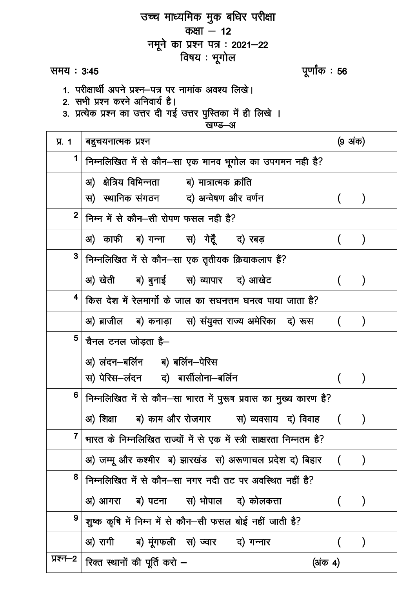| उच्च माध्यमिक मुक बधिर परीक्षा |                                                                          |         |                  |  |
|--------------------------------|--------------------------------------------------------------------------|---------|------------------|--|
| कक्षा $-12$                    |                                                                          |         |                  |  |
|                                | नमूने का प्रश्न पत्र : 2021–22                                           |         |                  |  |
|                                | विषय : भूगोल                                                             |         |                  |  |
| समय : 3:45                     | पूर्णांक : <b>56</b>                                                     |         |                  |  |
|                                | 1. परीक्षार्थी अपने प्रश्न–पत्र पर नामांक अवश्य लिखे।                    |         |                  |  |
|                                | 2. सभी प्रश्न करने अनिवार्य है।                                          |         |                  |  |
|                                | 3. प्रत्येक प्रश्न का उत्तर दी गई उत्तर पुस्तिका में ही लिखे ।<br>खण्ड—अ |         |                  |  |
| <b>y.</b> 1                    | बहुचयनात्मक प्रश्न                                                       | (9 अंक) |                  |  |
| 1                              | निम्नलिखित में से कौन–सा एक मानव भूगोल का उपगमन नही है?                  |         |                  |  |
|                                | अ) क्षेत्रिय विभिन्नता व) मात्रात्मक क्रांति                             |         |                  |  |
|                                | स) स्थानिक संगठन व) अन्वेषण और वर्णन                                     |         |                  |  |
| $\mathbf{2}$                   | निम्न में से कौन–सी रोपण फसल नही है?                                     |         |                  |  |
|                                | अ) काफी ब)गन्ना  स) गेहूँ  द) रबड़                                       |         | $\lambda$        |  |
| 3 <sub>1</sub>                 | निम्नलिखित में से कौन-सा एक तृतीयक क्रियाकलाप हैं?                       |         |                  |  |
|                                | अ) खेती ब) बुनाई स) व्यापार द) आखेट                                      |         | $\lambda$        |  |
| 4                              | किस देश में रेलमार्गो के जाल का सघनत्तम घनत्व पाया जाता है?              |         |                  |  |
|                                | अ) ब्राजील व) कनाड़ा ) संयुक्त राज्य अमेरिका  द) रूस                     |         |                  |  |
| 5                              | चैनल टनल जोड़ता है–                                                      |         |                  |  |
|                                | अ) लंदन–बर्लिन ब) बर्लिन–पेरिस                                           |         |                  |  |
|                                | स) पेरिस–लंदन द) बार्सीलोना–बर्लिन                                       |         | $\left( \right)$ |  |
| 6                              | निम्नलिखित में से कौन–सा भारत में पुरूष प्रवास का मुख्य कारण है?         |         |                  |  |
|                                | अ) शिक्षा ब) काम और रोजगार स) व्यवसाय द) विवाह ()                        |         |                  |  |
| $\mathbf{7}$                   | भारत के निम्नलिखित राज्यों में से एक में स्त्री साक्षरता निम्नतम है?     |         |                  |  |
|                                | अ) जम्मू और कश्मीर ब) झारखंड  स) अरूणाचल प्रदेश द) बिहार    (            |         | $\lambda$        |  |
| 8                              | निम्नलिखित में से कौन–सा नगर नदी तट पर अवस्थित नहीं है?                  |         |                  |  |
|                                | अ) आगरा ब) पटना  स) भोपाल  द) कोलकत्ता                                   |         |                  |  |
| 9                              | शुष्क कृषि में निम्न में से कौन–सी फसल बोई नहीं जाती है?                 |         |                  |  |
|                                | अ) रागी व) मूंगफली स) ज्वार व) गन्नार                                    |         |                  |  |
| प्रश्न—2                       | रिक्त स्थानों की पूर्ति करो –<br>(अंक 4)                                 |         |                  |  |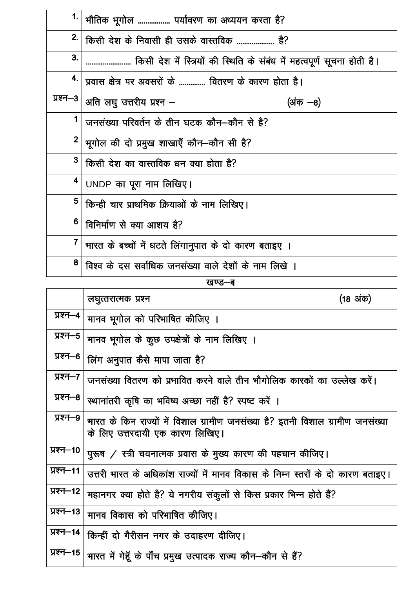| 1.                      | भौतिक भूगोल  पर्यावरण का अध्ययन करता है?                                |  |  |
|-------------------------|-------------------------------------------------------------------------|--|--|
| 2.                      | किसी देश के निवासी ही उसके वास्तविक  है?                                |  |  |
| 3.                      | किसी देश में स्त्रियों की स्थिति के संबंध में महत्वपूर्ण सूचना होती है। |  |  |
| 4.                      | प्रवास क्षेत्र पर अवसरों के  वितरण के कारण होता है।                     |  |  |
| प्रश्न–3                | अति लघु उत्तरीय प्रश्न $-$<br>(अंक —8)                                  |  |  |
| 1                       | जनसंख्या परिवर्तन के तीन घटक कौन–कौन से है?                             |  |  |
| $\overline{\mathbf{2}}$ | भूगोल की दो प्रमुख शाखाएँ कौन-कौन सी है?                                |  |  |
| 3 <sup>1</sup>          | किसी देश का वास्तविक धन क्या होता है?                                   |  |  |
| 4                       | UNDP का पूरा नाम लिखिए।                                                 |  |  |
| 5                       | किन्ही चार प्राथमिक क्रियाओं के नाम लिखिए।                              |  |  |
| 6                       | विनिर्माण से क्या आशय है?                                               |  |  |
| $\overline{7}$          | भारत के बच्चों में धटते लिंगानुपात के दो कारण बताइए ।                   |  |  |
| 8                       | विश्व के दस सर्वाधिक जनसंख्या वाले देशों के नाम लिखे ।                  |  |  |

# खण्ड—ब

|           | (18 अंक)<br>लघुत्तरात्मक प्रश्न                                                                                   |
|-----------|-------------------------------------------------------------------------------------------------------------------|
| प्रश्न—4  | मानव भूगोल को परिभाषित कीजिए ।                                                                                    |
| प्रश्न—5  | मानव भूगोल के कुछ उपक्षेत्रों के नाम लिखिए ।                                                                      |
| प्रश्न—6  | लिंग अनुपात कैसे मापा जाता है?                                                                                    |
| प्रश्न—7  | जनसंख्या वितरण को प्रभावित करने वाले तीन भौगोलिक कारकों का उल्लेख करें।                                           |
| प्रश्न—8  | स्थानांतरी कृषि का भविष्य अच्छा नहीं है? स्पष्ट करें ।                                                            |
| प्रश्न—9  | भारत के किन राज्यों में विशाल ग्रामीण जनसंख्या है? इतनी विशाल ग्रामीण जनसंख्या<br>के लिए उत्तरदायी एक कारण लिखिए। |
| प्रश्न—10 | पुरूष / स्त्री चयनात्मक प्रवास के मुख्य कारण की पहचान कीजिए।                                                      |
| प्रश्न—11 | उत्तरी भारत के अधिकांश राज्यों में मानव विकास के निम्न स्तरों के दो कारण बताइए।                                   |
| प्रश्न—12 | महानगर क्या होते है? ये नगरीय संकुलों से किस प्रकार भिन्न होते हैं?                                               |
| प्रश्न—13 | मानव विकास को परिभाषित कीजिए।                                                                                     |
| प्रश्न—14 | किन्हीं दो गैरीसन नगर के उदाहरण दीजिए।                                                                            |
| प्रश्न—15 | भारत में गेहूँ के पाँच प्रमुख उत्पादक राज्य कौन–कौन से हैं?                                                       |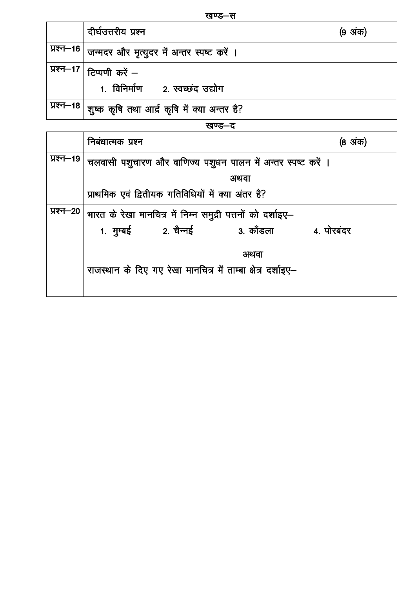| ш<br>æ<br>H |  |
|-------------|--|
|-------------|--|

|        | दीर्घउत्तरीय प्रश्न                                         | (9 अंक) |  |
|--------|-------------------------------------------------------------|---------|--|
|        | प्रश्न–16   जन्मदर और मृत्युदर में अन्तर स्पष्ट करें ।      |         |  |
|        | , प्रश्न—17   टिप्पणी <i>करें —</i>                         |         |  |
|        | 1. विनिर्माण 2. स्वच्छंद उद्योग                             |         |  |
|        | , प्रश्न—18   शुष्क कृषि तथा आर्द्र कृषि में क्या अन्तर है? |         |  |
| खण्ड—ट |                                                             |         |  |

|           | निबंधात्मक प्रश्न                                                             | (8 अंक) |  |  |
|-----------|-------------------------------------------------------------------------------|---------|--|--|
| प्रश्न—19 | चलवासी पशुचारण और वाणिज्य पशुधन पालन में अन्तर स्पष्ट करें ।                  |         |  |  |
|           | अथवा                                                                          |         |  |  |
|           | प्राथमिक एवं द्वितीयक गतिविधियों में क्या अंतर है?                            |         |  |  |
| प्रश्न—20 | भारत के रेखा मानचित्र में निम्न समुद्री पत्तनों को दर्शाइए–                   |         |  |  |
|           | 1. मुम्बई               2. चैन्नई<br>3. कॉंडला                     4. पोरबंदर |         |  |  |
|           | अथवा                                                                          |         |  |  |
|           | राजस्थान के दिए गए रेखा मानचित्र में ताम्बा क्षेत्र दर्शाइए–                  |         |  |  |
|           |                                                                               |         |  |  |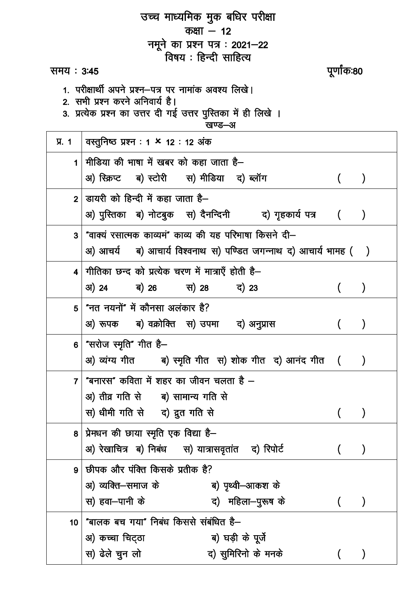|                 | उच्च माध्यमिक मुक बधिर परीक्षा                                                                    |             |                  |
|-----------------|---------------------------------------------------------------------------------------------------|-------------|------------------|
|                 | कक्षा $-12$                                                                                       |             |                  |
|                 | नमूने का प्रश्न पत्र : 2021–22                                                                    |             |                  |
|                 | विषय : हिन्दी साहित्य                                                                             |             |                  |
| समय : 3:45      |                                                                                                   | पूर्णांक:80 |                  |
|                 | 1. परीक्षार्थी अपने प्रश्न—पत्र पर नामांक अवश्य लिखे।                                             |             |                  |
|                 | 2. सभी प्रश्न करने अनिवार्य है।<br>3. प्रत्येक प्रश्न का उत्तर दी गई उत्तर पुस्तिका में ही लिखे । |             |                  |
|                 | खण्ड—अ                                                                                            |             |                  |
| $\Pi$ . 1       | वस्तुनिष्ठ प्रश्न : 1 × 12 : 12 अंक                                                               |             |                  |
| 1               | मीडिया की भाषा में खबर को कहा जाता है—                                                            |             |                  |
|                 | अ) स्क्रिप्ट ब) स्टोरी  स) मीडिया  द) ब्लॉग                                                       |             | $\mathcal{Y}$    |
|                 | $2$   डायरी को हिन्दी में कहा जाता है–                                                            |             |                  |
|                 |                                                                                                   |             |                  |
|                 | अ) पुस्तिका ब) नोटबुक स) दैनन्दिनी वर) गृहकार्य पत्र ()                                           |             |                  |
| 3 <sup>1</sup>  | "वाक्यं रसात्मक काव्यमं" काव्य की यह परिभाषा किसने दी–                                            |             |                  |
|                 | अ) आचर्य ब) आचार्य विश्वनाथ स) पण्डित जगन्नाथ द) आचार्य भामह ( )                                  |             |                  |
| 4               | गीतिका छन्द को प्रत्येक चरण में मात्राएँ होती है—                                                 |             |                  |
|                 | 31) 24 ब) 26 स) 28 द) 23                                                                          |             |                  |
| 5 <sup>5</sup>  | "नत नयनों" में कौनसा अलंकार है?                                                                   |             |                  |
|                 | अ) रूपक ब) वक्रोक्ति स) उपमा द) अनुप्रास                                                          |             |                  |
|                 |                                                                                                   |             |                  |
| 6 <sup>°</sup>  | "सरोज स्मृति" गीत है—                                                                             |             |                  |
|                 | अ) व्यंग्य गीत         ब) स्मृति गीत  स) शोक गीत  द) आनंद गीत   (                                 |             | $\left( \right)$ |
| $\overline{7}$  | "बनारस" कविता में शहर का जीवन चलता है —                                                           |             |                  |
|                 | अ) तीव्र गति से ब) सामान्य गति से                                                                 |             |                  |
|                 | स) धीमी गति से द) द्रुत गति से                                                                    |             | $\mathcal{Y}$    |
|                 | 8   प्रेमधन की छाया स्मृति एक विद्या है-                                                          |             |                  |
|                 | अ) रेखाचित्र ब) निबंध स) यात्रासवृतांत द) रिपोर्ट                                                 |             | $\mathcal{Y}$    |
| 9               | छीपक और पंक्ति किसके प्रतीक है?                                                                   |             |                  |
|                 | अ) व्यक्ति—समाज के                           ब) पृथ्वी—आकश के                                     |             |                  |
|                 | द) महिला—पुरूष के<br>स) हवा—पानी के                                                               |             |                  |
| 10 <sub>1</sub> | "बालक बच गया" निबंध किससे संबंधित है—                                                             |             |                  |
|                 | अ) कच्चा चिट्ठा<br>ब) घड़ी के पूर्जे                                                              |             |                  |
|                 |                                                                                                   |             |                  |
|                 | स) ढेले चुन लो<br>द) सुमिरिनो के मनके                                                             |             |                  |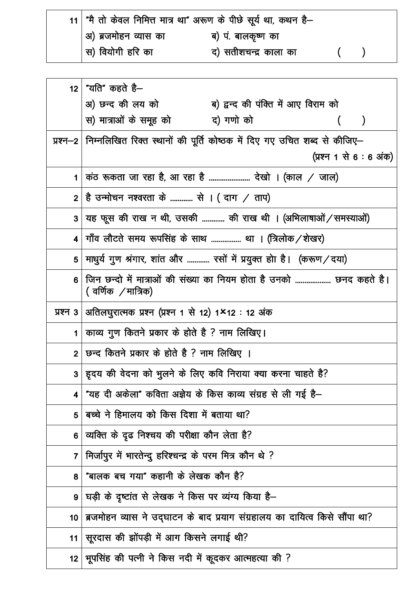| 11   "मै तो केवल निमित्त मात्र था" अरूण के पीछे सूर्य था, कथन है– |                       |  |
|-------------------------------------------------------------------|-----------------------|--|
| $\mid$ अ) ब्रजमोहन व्यास का                                       | ब) पं. बालकृष्ण का    |  |
| $\vert$ स) वियोगी हरि का                                          | द) सतीशचन्द्र काला का |  |

| 12 <sup>1</sup>         | <sup>।</sup> ''यति'' कहते है—                                                              |
|-------------------------|--------------------------------------------------------------------------------------------|
|                         | अ) छन्द की लय को<br>ब) द्वन्द की पंक्ति में आए विराम को                                    |
|                         | स) मात्राओं के समूह को<br>द) गणो को                                                        |
|                         | प्रश्न–2 मिम्नलिखित रिक्त स्थानों की पूर्ति कोष्ठक में दिए गए उचित शब्द से कीजिए–          |
|                         | (प्रश्न 1 से 6 : 6 अंक)                                                                    |
| $\mathbf 1$             | $ $ कंठ रूकता जा रहा है, आ रहा है  देखो । (काल $\diagup$ जाल)                              |
| 2 <sup>1</sup>          | है उन्मोचन नश्वरता के  से । ( दाग $\neq$ ताप)                                              |
| 3                       | यह फूस की राख न थी, उसकी  की राख थी । (अभिलाषाओं / समस्याओं)                               |
| $\overline{\mathbf{4}}$ | गाँव लौटते समय रूपसिंह के साथ  था । (त्रिलोक/शेखर)                                         |
| 5                       | माधुर्य गुण श्रंगार, शांत और  रसों में प्रयुक्त होा है। (करूण/दया)                         |
| $6\phantom{a}$          | जिन छन्दो में मात्राओं की संख्या का नियम होता है उनको  छनद कहते है।<br>( वर्णिक)/ मात्रिक) |
|                         | प्रश्न 3  अतिलघुरात्मक प्रश्न (प्रश्न 1 से 12) 1×12 : 12 अंक                               |
| 1                       | काव्य गुण कितने प्रकार के होते है ? नाम लिखिए।                                             |
| 2 <sup>1</sup>          | छन्द कितने प्रकार के होते है ? नाम लिखिए ।                                                 |
| 3 <sup>1</sup>          | . इ़दय की वेदना को भुलने के लिए कवि निराया क्या करना चाहते है?                             |
| 4                       | "यह दी अकेला" कविता अज्ञेय के किस काव्य संग्रह से ली गई है-                                |
| 5                       | बच्चे ने हिमालय को किस दिशा में बताया था?                                                  |
| 6                       | व्यक्ति के दृढ निश्चय की परीक्षा कौन लेता है?                                              |
| 7                       | मिर्जापुर में भारतेन्दु हरिश्चन्द्र के परम मित्र कौन थे ?                                  |
| 8                       | "बालक बच गया" कहानी के लेखक कौन है?                                                        |
| 9                       | घड़ी के दृष्टांत से लेखक ने किस पर व्यंग्य किया है–                                        |
| 10 <sub>1</sub>         | ब्रजमोहन व्यास ने उद्घाटन के बाद प्रयाग संग्रहालय का दायित्व किसे सौंपा था?                |
| 11                      | सूरदास की झोंपड़ी में आग किसने लगाई थी?                                                    |
| 12                      | भूपसिंह की पत्नी ने किस नदी में कूदकर आत्महत्या की ?                                       |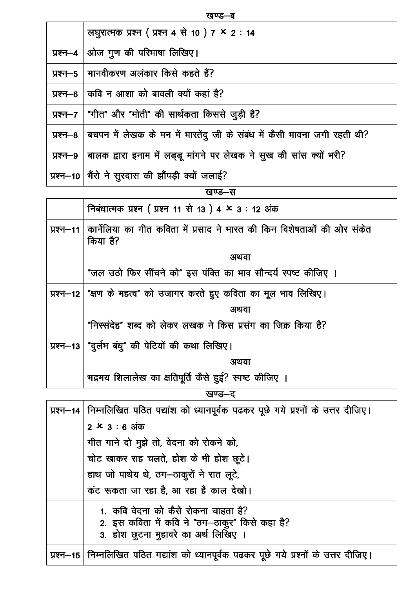खण्ड–ब

|          | लघुरात्मक प्रश्न ( प्रश्न 4 से 10 ) 7 $\times$ 2 : 14                    |
|----------|--------------------------------------------------------------------------|
| प्रश्न—4 | ओज गुण की परिभाषा लिखिए।                                                 |
|          | प्रश्न–5   मानवीकरण अलंकार किसे कहते हैं?                                |
|          | प्रश्न–6   कवि न आशा को बावली क्यों कहां है?                             |
|          | प्रश्न–7   "गीत" और "मोती" की सार्थकता किससे जुड़ी है?                   |
| प्रश्न—8 | बचपन में लेखक के मन में भारतेंदु जी के संबंध में कैसी भावना जगी रहती थी? |
| प्रश्न—9 | बालक द्वारा इनाम में लड़डू मांगने पर लेखक ने सुख की सांस क्यों भरी?      |
|          | प्रश्न-10   भैंरो ने सुरदास की झौंपड़ी क्यों जलाई?                       |

|              | खण्ड—स                                                                              |
|--------------|-------------------------------------------------------------------------------------|
|              | निबंधात्मक प्रश्न ( प्रश्न 11 से 13 ) 4 × 3 : 12 अंक                                |
| प्रश्न $-11$ | कार्नेलिया का गीत कविता में प्रसाद ने भारत की किन विशेषताओं की ओर संकेत<br>किया है? |
|              | अथवा                                                                                |
|              | "जल उठो फिर सींचने को" इस पंक्ति का भाव सौन्दर्य स्पष्ट कीजिए ।                     |
|              | प्रश्न-12   "क्षण के महत्व" को उजागर करते हुए कविता का मूल भाव लिखिए।               |
|              | अथवा                                                                                |
|              | "निस्संदेह" शब्द को लेकर लखक ने किस प्रसंग का जिक्र किया है?                        |
| प्रश्न $-13$ | "दुर्लभ बंधु" की पेटियों की कथा लिखिए।                                              |
|              | अथवा                                                                                |
|              | भद्रमय शिलालेख का क्षतिपूर्ति कैसे हुई? स्पष्ट कीजिए ।                              |

खण्ड–द

| प्रश्न–14   निम्नलिखित पठित पद्यांश को ध्यानपूर्वक पढकर पूछे गये प्रश्नों के उत्तर दीजिए।                                      |
|--------------------------------------------------------------------------------------------------------------------------------|
| $2 \times 3 : 6 \text{ sign}$                                                                                                  |
| गीत गाने दो मुझे तो, वेदना को रोकने को,                                                                                        |
| चोट खाकर राह चलते, होश के भी होश छूटे।                                                                                         |
| हाथ जो पाथेय थे, ठग-ठाकुरों ने रात लूटे,                                                                                       |
| कंट रूकता जा रहा है, आ रहा है काल देखो।                                                                                        |
| 1. कवि वेदना को कैसे रोकना चाहता है?<br>2. इस कविता में कवि ने "ठग-ठाकुर" किसे कहा है?<br>3. होश छुटना मुहावरे का अर्थ लिखिए । |
| प्रश्न-15   निम्नलिखित पठित गद्यांश को ध्यानपूर्वक पढकर पूछे गये प्रश्नों के उत्तर दीजिए।                                      |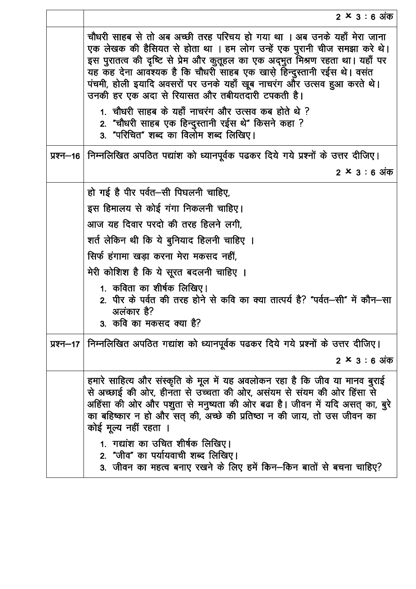| $2 \times 3 : 6$ अक                                                                                                                                                                                                                                                                                                                                                                                                                      |
|------------------------------------------------------------------------------------------------------------------------------------------------------------------------------------------------------------------------------------------------------------------------------------------------------------------------------------------------------------------------------------------------------------------------------------------|
| चौधरी साहब से तो अब अच्छी तरह परिचय हो गया था । अब उनके यहाँ मेरा जाना<br>एक लेखक की हैसियत से होता था । हम लोग उन्हें एक पुरानी चीज समझा करे थे।<br>इस पुरातत्व की दृष्टि से प्रेम और कुतूहल का एक अद्भुत मिश्रण रहता था। यहाँ पर<br>यह कह देना आवश्यक है कि चौधरी साहब एक खास़े हिन्दुस्तानी रईस थे। वसंत<br>पंचमी, होली इयादि अवसरों पर उनके यहाँ खूब नाचरंग और उत्सव हुआ करते थे।<br>उनकी हर एक अदा से रियासत और तबीयतदारी टपकती है। |
| 1. चौधरी साहब के यहाँ नाचरंग और उत्सव कब होते थे ?<br>2. "चौधरी साहब एक हिन्दुस्तानी रईस थे" किसने कहा ?<br>3. "परिचित" शब्द का विलोम शब्द लिखिए।                                                                                                                                                                                                                                                                                        |
| प्रश्न—16   निम्नलिखित अपठित पद्यांश को ध्यानपूर्वक पढकर दिये गये प्रश्नों के उत्तर दीजिए।                                                                                                                                                                                                                                                                                                                                               |
| $2 \times 3 : 6$ अंक                                                                                                                                                                                                                                                                                                                                                                                                                     |
| हो गई है पीर पर्वत—सी पिघलनी चाहिए,                                                                                                                                                                                                                                                                                                                                                                                                      |
| इस हिमालय से कोई गंगा निकलनी चाहिए।                                                                                                                                                                                                                                                                                                                                                                                                      |
| आज यह दिवार परदो की तरह हिलने लगी,                                                                                                                                                                                                                                                                                                                                                                                                       |
| शर्त लेकिन थी कि ये बुनियाद हिलनी चाहिए ।                                                                                                                                                                                                                                                                                                                                                                                                |
| सिर्फ हंगामा खड़ा करना मेरा मकसद नहीं,                                                                                                                                                                                                                                                                                                                                                                                                   |
| मेरी कोशिश है कि ये सूरत बदलनी चाहिए ।                                                                                                                                                                                                                                                                                                                                                                                                   |
| 1.  कविता का शीर्षक लिखिए।<br>2. पीर के पर्वत की तरह होने से कवि का क्या तात्पर्य है? "पर्वत—सी" में कौन—सा<br>अलंकार है?<br>3. कवि का मकसद क्या है?                                                                                                                                                                                                                                                                                     |
| प्रश्न-17   निम्नलिखित अपठित गद्यांश को ध्यानपूर्वक पढकर दिये गये प्रश्नों के उत्तर दीजिए।                                                                                                                                                                                                                                                                                                                                               |
| $2 \times 3 : 6$ अंक                                                                                                                                                                                                                                                                                                                                                                                                                     |
| हमारे साहित्य और संस्कृति के मूल में यह अवलोकन रहा है कि जीव या मानव बुराई<br>से अच्छाई की ओर, हीनता से उच्चता की ओर, असंयम से संयम की ओर हिंसा से<br>अहिंसा की ओर और पशुता से मनुष्यता की ओर बढा है। जीवन में यदि असत् का, बुरे<br>का बहिष्कार न हो और सत् की, अच्छे की प्रतिष्ठा न की जाय, तो उस जीवन का<br>कोई मूल्य नहीं रहता ।                                                                                                      |
| 1. गद्यांश का उचित शीर्षक लिखिए।<br>2. "जीव" का पर्यायवाची शब्द लिखिए।<br>3. जीवन का महत्व बनाए रखने के लिए हमें किन–किन बातों से बचना चाहिए?                                                                                                                                                                                                                                                                                            |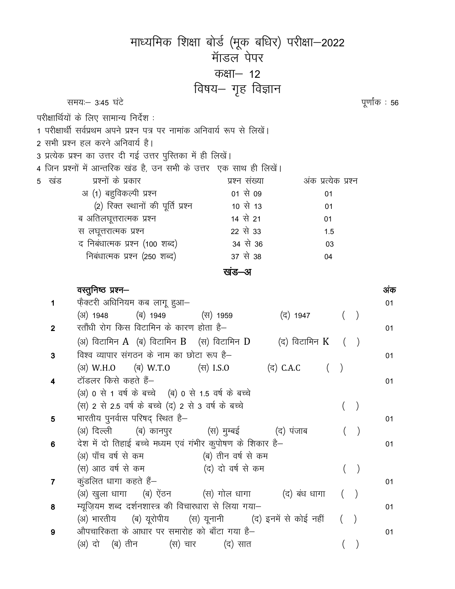|                         |                                                                                                                | माध्यमिक शिक्षा बोर्ड (मूक बधिर) परीक्षा—2022 |                     |   |               |     |
|-------------------------|----------------------------------------------------------------------------------------------------------------|-----------------------------------------------|---------------------|---|---------------|-----|
|                         |                                                                                                                | मांडल पेपर                                    |                     |   |               |     |
|                         |                                                                                                                | कक्षा— 12                                     |                     |   |               |     |
|                         |                                                                                                                |                                               |                     |   |               |     |
|                         | समयः– 3:45 घंटे                                                                                                | विषय— गृह विज्ञान                             |                     |   |               |     |
|                         |                                                                                                                |                                               |                     |   | पूर्णांक : 56 |     |
|                         | परीक्षार्थियों के लिए सामान्य निर्देश :                                                                        |                                               |                     |   |               |     |
|                         | 1 परीक्षार्थी सर्वप्रथम अपने प्रश्न पत्र पर नामांक अनिवार्य रूप से लिखें।<br>2 सभी प्रश्न हल करने अनिवार्य है। |                                               |                     |   |               |     |
|                         | 3 प्रत्येक प्रश्न का उत्तर दी गई उत्तर पुस्तिका में ही लिखें।                                                  |                                               |                     |   |               |     |
|                         | 4 जिन प्रश्नों में आन्तरिक खंड है, उन सभी के उत्तर) एक साथ ही लिखें।                                           |                                               |                     |   |               |     |
| 5 खंड                   | प्रश्नों के प्रकार                                                                                             | प्रश्न संख्या                                 | अंक प्रत्येक प्रश्न |   |               |     |
|                         | अ (1) बहुविकल्पी प्रश्न                                                                                        | 01 से 09                                      | 01                  |   |               |     |
|                         | (2) रिक्त स्थानों की पूर्ति प्रश्न                                                                             | 10 से 13                                      | 01                  |   |               |     |
|                         | ब अतिलघूत्तरात्मक प्रश्न                                                                                       | 14 से 21                                      | 01                  |   |               |     |
|                         | स लघूत्तरात्मक प्रश्न                                                                                          | 22 से 33                                      | 1.5                 |   |               |     |
|                         | द निबंधात्मक प्रश्न (100 शब्द)                                                                                 | 34 से 36                                      | 03                  |   |               |     |
|                         | निबंधात्मक प्रश्न (250 शब्द)                                                                                   | 37 से 38                                      | 04                  |   |               |     |
|                         |                                                                                                                | खंड–अ                                         |                     |   |               |     |
|                         | वस्तुनिष्ठ प्रश्न—                                                                                             |                                               |                     |   |               | अंक |
| 1                       | फ़ैक्टरी अधिनियम कब लागू हुआ—                                                                                  |                                               |                     |   |               | 01  |
|                         | (अ) 1948<br>(ब) 1949                                                                                           | (स) 1959                                      | (द) 1947            | ( |               |     |
| $\overline{2}$          | रतौंधी रोग किस विटामिन के कारण होता है—                                                                        |                                               |                     |   |               | 01  |
|                         | (अ) विटामिन $A$ (ब) विटामिन $B$ (स) विटामिन $D$                                                                |                                               | (द) विटामिन K ()    |   |               |     |
| 3                       | विश्व व्यापार संगठन के नाम का छोटा रूप है–                                                                     |                                               |                     |   |               | 01  |
|                         | (31) W.H.O (31) W.T.O (37) I.S.O (37) C.A.C (37)                                                               |                                               |                     |   |               |     |
| 4                       | टॉडलर किसे कहते हैं–                                                                                           |                                               |                     |   |               | 01  |
|                         | (अ) 0 से 1 वर्ष के बच्चे (ब) 0 से 1.5 वर्ष के बच्चे                                                            |                                               |                     |   |               |     |
|                         | (स) 2 से 2.5 वर्ष के बच्चे (द) 2 से 3 वर्ष के बच्चे                                                            |                                               |                     |   | $\big)$       |     |
| $\overline{\mathbf{5}}$ | भारतीय पुनर्वास परिषद् स्थित है-                                                                               |                                               |                     |   |               | 01  |
|                         | (अ) दिल्ली      (ब) कानपुर            (स) मुम्बई           (द) पंजाब                                           |                                               |                     |   |               |     |
| 6                       | देश में दो तिहाई बच्चे मध्यम एवं गंभीर कुपोषण के शिकार है–<br>(अ) पाँच वर्ष से कम                              | (ब) तीन वर्ष से कम                            |                     |   |               | 01  |
|                         | (स) आठ वर्ष से कम                                                                                              | (द) दो वर्ष से कम                             |                     |   | $\big)$       |     |
| $\overline{7}$          | कुंडलित धागा कहते हैं–                                                                                         |                                               |                     |   |               | 01  |
|                         | (अ) खुला धागा (ब) ऐंठन (स) गोल धागा (द) बंध धागा                                                               |                                               |                     | ( |               |     |
| 8                       | म्यूज़ियम शब्द दर्शनशास्त्र की विचारधारा से लिया गया-                                                          |                                               |                     |   |               | 01  |
|                         | (अ) भारतीय     (ब) यूरोपीय      (स) यूनानी        (द) इनमें से कोई नहीं                                        |                                               |                     |   |               |     |
| 9                       | औपचारिकता के आधार पर समारोह को बाँटा गया है–                                                                   |                                               |                     |   |               | 01  |
|                         | (अ) दो (ब) तीन (स) चार (द) सात                                                                                 |                                               |                     |   | $\big)$       |     |
|                         |                                                                                                                |                                               |                     |   |               |     |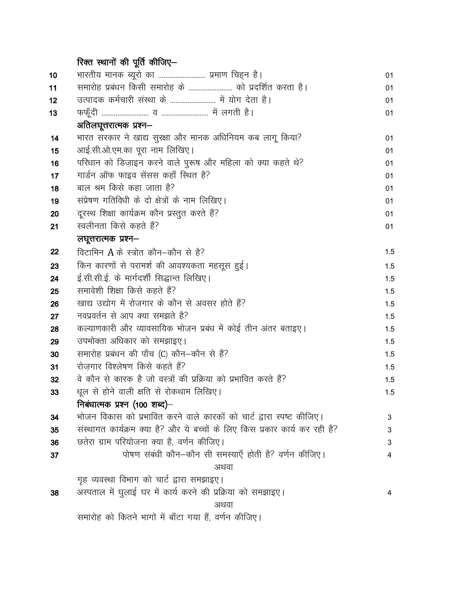# रिक्त स्थानों की पूर्ति कीजिए—

| 10 | भारतीय मानक ब्यूरो का  प्रमाण चिह्न है।                                     | 01  |
|----|-----------------------------------------------------------------------------|-----|
| 11 | समारोह प्रबंधन किसी समारोह के  को प्रदर्शित करता है।                        | 01  |
| 12 | उत्पादक कर्मचारी संस्था के  में योग देता है।                                | 01  |
| 13 |                                                                             | 01  |
|    | अतिलघूत्तरात्मक प्रश्न–                                                     |     |
| 14 | भारत सरकार ने खाद्य सुरक्षा और मानक अधिनियम कब लागू किया?                   | 01  |
| 15 | आई.सी.ओ.एम.का पूरा नाम लिखिए।                                               | 01  |
| 16 | परिधान को डिज़ाइन करने वाले पुरूष और महिला को क्या कहते थे?                 | 01  |
| 17 | गार्डन ऑफ फाइव सेंसस कहाँ स्थित है?                                         | 01  |
| 18 | बाल श्रम किसे कहा जाता है?                                                  | 01  |
| 19 | संप्रेषण गतिविधी के दो क्षेत्रों के नाम लिखिए।                              | 01  |
| 20 | दूरस्थ शिक्षा कार्यक्रम कौन प्रस्तुत करते हैं?                              | 01  |
| 21 | स्वलीनता किसे कहते हैं?                                                     | 01  |
|    | लघूत्तरात्मक प्रश्न—                                                        |     |
| 22 | विटामिन $A$ के स्त्रोत कौन–कौन से है?                                       | 1.5 |
| 23 | किन कारणों से परामर्श की आवश्यकता महसूस हुई।                                | 1.5 |
| 24 | ई.सी.सी.ई. के मार्गदर्शी सिद्धान्त लिखिए।                                   | 1.5 |
| 25 | समावेशी शिक्षा किसे कहते हैं?                                               | 1.5 |
| 26 | खाद्य उद्योग में रोजगार के कौन से अवसर होते हैं?                            | 1.5 |
| 27 | नवप्रवर्तन से आप क्या समझते हैं?                                            | 1.5 |
| 28 | कल्याणकारी और व्यावसायिक भोजन प्रबंध में कोई तीन अंतर बताइए।                | 1.5 |
| 29 | उपभोक्ता अधिकार को समझाइए।                                                  | 1.5 |
| 30 | समारोह प्रबंधन की पाँच (C) कौन-कौन से हैं?                                  | 1.5 |
| 31 | रोजगार विश्लेषण किसे कहते हैं?                                              | 1.5 |
| 32 | वे कौन से कारक है जो वस्त्रों की प्रक्रिया को प्रभावित करते हैं?            | 1.5 |
| 33 | धूल से होने वाली क्षति से रोकथाम लिखिए।                                     | 1.5 |
|    | निबंधात्मक प्रश्न (100 शब्द)–                                               |     |
| 34 | भोजन विकास को प्रभावित करने वाले कारकों को चार्ट द्वारा स्पष्ट कीजिए।       | 3   |
| 35 | संस्थागत कार्यक्रम क्या है? और ये बच्चों के लिए किस प्रकार कार्य कर रही है? | 3   |
| 36 | छतेरा ग्राम परियोजना क्या है, वर्णन कीजिए।                                  | 3   |
| 37 | पोषण संबंधी कौन–कौन सी समस्याएँ होती है? वर्णन कीजिए।                       | 4   |
|    | अथवा                                                                        |     |
|    | गृह व्यवस्था विभाग को चार्ट द्वारा समझाइए।                                  |     |
| 38 | अस्पताल में घुलाई घर में कार्य करने की प्रक्रिया को समझाइए।                 | 4   |
|    | अथवा                                                                        |     |
|    | समारोह को कितने भागों में बाँटा गया हैं, वर्णन कीजिए।                       |     |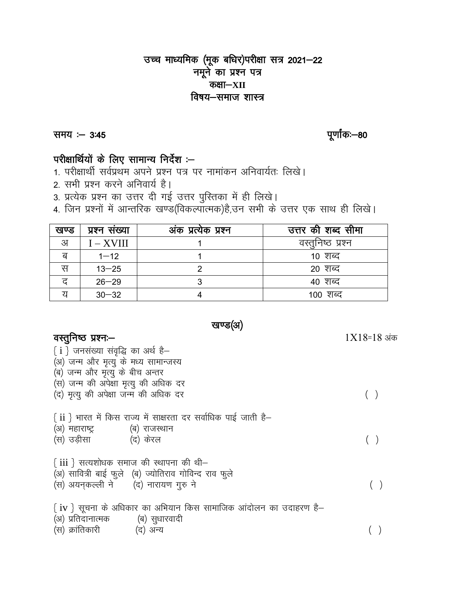# उच्च माध्यमिक (मूक बधिर)परीक्षा सत्र 2021–22 नमूने का प्रश्न पत्र कक्षा–XII विषय—समाज शास्त्र

समय : - 3:45

पूर्णांकः—80

 $1X18=18$  अंक

# परीक्षार्थियों के लिए सामान्य निर्देश :-

- 1. परीक्षार्थी सर्वप्रथम अपने प्रश्न पत्र पर नामांकन अनिवार्यतः लिखे।
- 2. सभी प्रश्न करने अनिवार्य है।
- 3. प्रत्येक प्रश्न का उत्तर दी गई उत्तर पुस्तिका में ही लिखे।
- 4. जिन प्रश्नों में आन्तरिक खण्ड(विकल्पात्मक)है,उन सभी के उत्तर एक साथ ही लिखे।

| खण्ड | प्रश्न सख्या | अंक प्रत्येक प्रश्न | उत्तर की शब्द सीमा |
|------|--------------|---------------------|--------------------|
| अ    | $I - XVIII$  |                     | वस्तुनिष्ठ प्रश्न  |
| ब    | $1 - 12$     |                     | <u> १० शब्द</u>    |
| स    | $13 - 25$    |                     | 20 शब्द            |
| ਟ    | $26 - 29$    |                     | 40 शब्द            |
| य    | $30 - 32$    |                     | <u> 100 शब्द</u>   |

खण्ड(अ)

# वस्तुनिष्ठ प्रश्नः-

 $\{i\}$  जनसंख्या संवृद्धि का अर्थ है-(अ) जन्म और मृत्यु के मध्य सामान्जस्य (ब) जन्म और मृत्यु के बीच अन्तर (स) जन्म की अपेक्षा मृत्यु की अधिक दर  $( )$ (द) मृत्यु की अपेक्षा जन्म की अधिक दर  $\{ ii \}$  भारत में किस राज्य में साक्षरता दर सर्वाधिक पाई जाती है– (अ) महाराष्ट्र (ब) राजस्थान  $( )$ (स) उड़ीसा (द) केरल  $\{ 1ii \}$  सत्यशोधक समाज की स्थापना की थी-(अ) सावित्री बाई फुले (ब) ज्योतिराव गोविन्द राव फुले (स) अयनकल्ली ने (द) नारायण गुरु ने  $( )$  $\{iv\}$  सूचना के अधिकार का अभियान किस सामाजिक आंदोलन का उदाहरण है– (अ) प्रतिदानात्मक (ब) सुधारवादी (स) क्रांतिकारी (द) अन्य  $( )$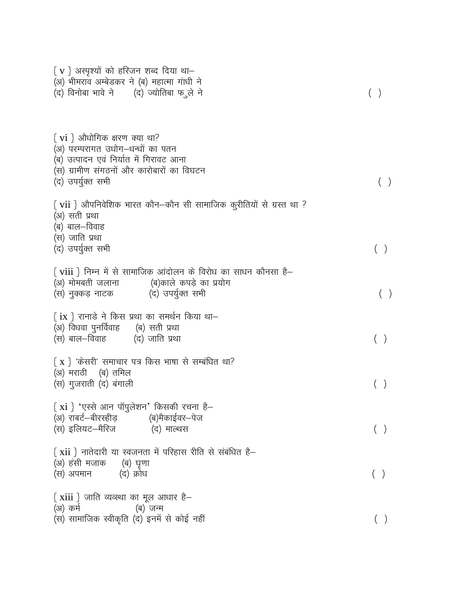| $\{ \ v \ \}$ अस्पृश्यों को हरिजन शब्द दिया था—<br>(अ) भीमराव अम्बेडकर ने (ब) महात्मा गांधी ने<br>(द) विनोबा भावे ने (द) ज्योतिबा फ ुले ने                                                |  |
|-------------------------------------------------------------------------------------------------------------------------------------------------------------------------------------------|--|
| $\{ \text{ vi } \}$ औधोगिक क्षरण क्या था?<br>(अ) परम्परागत उधोग-धन्धों का पतन<br>(ब) उत्पादन एवं निर्यात में गिरावट आना<br>(स) ग्रामीण संगठनों और कारोबारों का विघटन<br>(द) उपर्युक्त सभी |  |
| $\{ \text{ vii } \}$ औपनिवेशिक भारत कौन—कौन सी सामाजिक कुरीतियों से ग्रस्त था ?<br>(अ) सती प्रथा<br>(ब) बाल—विवाह<br>(स) जाति प्रथा<br>(द) उपर्युक्त सभी                                  |  |
| $\{ \text{ viii } \}$ निम्न में से सामाजिक आंदोलन के विरोध का साधन कौनसा है—<br>(अ) मोमबती जलाना (ब)काले कपड़े का प्रयोग<br>(स) नुक्कड़ नाटक (द) उपर्युक्त सभी                            |  |
| $\set{\text{i}}{\text{x}}$ रानाडे ने किस प्रथा का समर्थन किया था–<br>(अ) विधवा पुनर्विवाह      (ब) सती प्रथा<br>(स) बाल—विवाह<br>(द) जाति प्रथा                                           |  |
| $\{ \mathbf{x} \}$ 'केसरी' समाचार पत्र किस भाषा से सम्बंधित था?<br>(अ) मराठी (ब) तमिल<br>(स) गुजराती (द) बंगाली                                                                           |  |
| $\{ \text{ xi } \}$ 'एस्से आन पॉपुलेशन' किसकी रचना है–<br>(अ) राबर्ट—बीरस्हीड़           (ब)मैकाईवर—पेज<br>(स) इलियट—मैरिज<br>(द) माल्थस                                                  |  |
| $\{ \ xii \ \}$ नातेदारी या स्वजनता में परिहास रीति से संबंधित है—<br>(अ) हंसी मजाक<br>(ब) घृणा<br>(द) क्रोध<br>(स) अपमान                                                                 |  |
| $\{ \text { xiii } \}$ जाति व्यव्स्था का मूल आधार है $-$<br>(अ) कर्म<br>(ब) जन्म<br>(स) सामाजिक स्वीकृति (द) इनमें से कोई नहीं                                                            |  |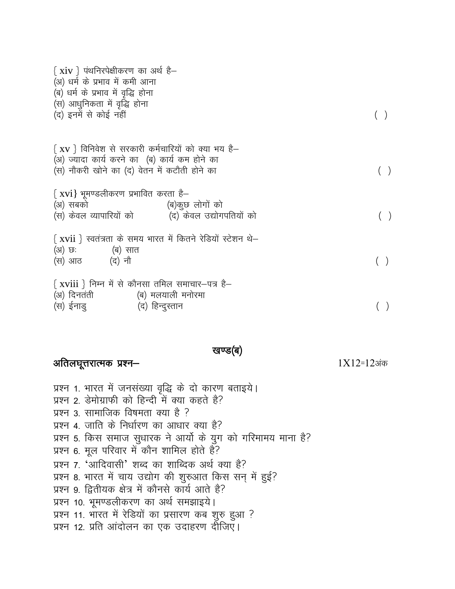| $\{ \ xiv \ \}$ पंथनिरपेक्षीकरण का अर्थ है—<br>(अ) धर्म के प्रभाव में कमी आना<br>(ब) धर्म के प्रभाव में वृद्धि होना<br>(स) आधुनिकता में वृद्धि होना<br>(द) इनमें से कोई नहीं |  |
|------------------------------------------------------------------------------------------------------------------------------------------------------------------------------|--|
| $\{ xy \}$ विनिवेश से सरकारी कर्मचारियों को क्या भय है–<br>(अ) ज्यादा कार्य करने का (ब) कार्य कम होने का<br>(स) नौकरी खोने का (द) वेतन में कटौती होने का                     |  |
| $\{ \ xv i\}$ भूमण्डलीकरण प्रभावित करता है—<br>(अ) सबको                         (ब)कुछ लोगों को<br>(स) केवल व्यापारियों को         (द) केवल उद्योगपतियों को                  |  |
| $\{ \overline{x}$ vii } स्वतंत्रता के समय भारत में कितने रेडियों स्टेशन थे–<br>(अ) छः               (ब) सात<br>(स) आठ (द) नौ                                                 |  |
| $\{ xviii \}$ निम्न में से कौनसा तमिल समाचार-पत्र है-<br>(अ) दिनतंती (ब) मलयाली मनोरमा<br>(स) ईनाडु                   (द) हिन्दुस्तान                                        |  |

खण्ड(ब)

# अतिलघूत्तरात्मक प्रश्न-

 $1X12=12$ अंक

प्रश्न 1. भारत में जनसंख्या वृद्धि के दो कारण बताइये। प्रश्न 2. डेमोग्राफी को हिन्दी में क्या कहते है? प्रश्न 3. सामाजिक विषमता क्या है ? प्रश्न 4. जाति के निर्धारण का आधार क्या है? प्रश्न 5. किस समाज सुधारक ने आर्यो के युग को गरिमामय माना है? प्रश्न 6. मूल परिवार में कौन शामिल होते हैं? प्रश्न 7. 'आदिवासी' शब्द का शाब्दिक अर्थ क्या है? प्रश्न 8. भारत में चाय उद्योग की शुरुआत किस सन् में हुई? प्रश्न 9. द्वितीयक क्षेत्र में कौनसे कार्य आते है? प्रश्न 10. भूमण्डलीकरण का अर्थ समझाइये। प्रश्न 11. भारत में रेडियों का प्रसारण कब शुरु हुआ ? प्रश्न 12. प्रति आंदोलन का एक उदाहरण दीजिए।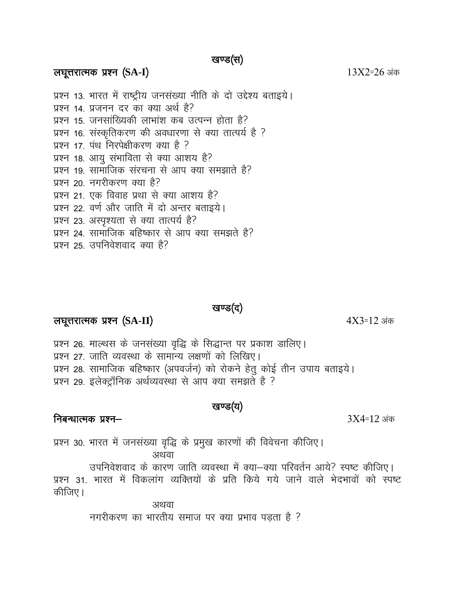### खण्ड(स)

### लघूत्तरात्मक प्रश्न (SA-I)

प्रश्न 13. भारत में राष्ट्रीय जनसंख्या नीति के दो उद्देश्य बताइये। प्रश्न 14, प्रजनन दर का क्या अर्थ है? प्रश्न 15. जनसांख्यिकी लाभांश कब उत्पन्न होता है? प्रश्न 16. संस्कृतिकरण की अवधारणा से क्या तात्पर्य है ? प्रश्न 17. पंथ निरपेक्षीकरण क्या है ? प्रश्न 18. आयु संभाविता से क्या आशय है? प्रश्न 19. सामाजिक संरचना से आप क्या समझाते है? प्रश्न २० नगरीकरण क्या है? प्रश्न 21. एक विवाह प्रथा से क्या आशय है? प्रश्न 22. वर्ण और जाति में दो अन्तर बताइये। प्रश्न 23. अस्पृश्यता से क्या तात्पर्य है? प्रश्न 24. सामाजिक बहिष्कार से आप क्या समझते है? प्रश्न २५ उपनिवेशवाद क्या है?

### खण्ड(द)

# लघूत्तरात्मक प्रश्न (SA-II)

प्रश्न 26. माल्थस के जनसंख्या वृद्धि के सिद्धान्त पर प्रकाश डालिए। प्रश्न 27. जाति व्यवस्था के सामान्य लक्षणों को लिखिए। प्रश्न 28. सामाजिक बहिष्कार (अपवर्जन) को रोकने हेतु कोई तीन उपाय बताइये। प्रश्न 29. इलेक्ट्रॉनिक अर्थव्यवस्था से आप क्या समझते है ?

## खण्ड(य)

प्रश्न 30. भारत में जनसंख्या वृद्धि के प्रमुख कारणों की विवेचना कीजिए। अथवा उपनिवेशवाद के कारण जाति व्यवस्था में क्या–क्या परिवर्तन आये? स्पष्ट कीजिए। प्रश्न 31. भारत में विकलांग व्यक्तियों के प्रति किये गये जाने वाले भेदभावों को स्पष्ट कीजिए। अथवा

नगरीकरण का भारतीय समाज पर क्या प्रभाव पड़ता है ?

 $4X3=12$  अंक

 $13X2=26$  अंक

# निबन्धात्मक प्रश्न—

 $3X4=12$  अंक